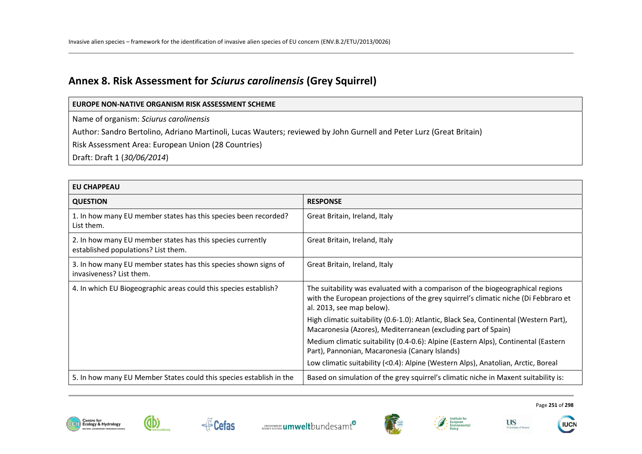# **Annex 8. Risk Assessment for** *Sciurus carolinensis* **(Grey Squirrel)**

Name of organism: *Sciurus carolinensis* 

Author: Sandro Bertolino, Adriano Martinoli, Lucas Wauters; reviewed by John Gurnell and Peter Lurz (Great Britain)

Risk Assessment Area: European Union (28 Countries)

Draft: Draft 1 (*30/06/2014*)

| <b>EU CHAPPEAU</b>                                                                                |                                                                                                                                                                                                    |  |
|---------------------------------------------------------------------------------------------------|----------------------------------------------------------------------------------------------------------------------------------------------------------------------------------------------------|--|
| <b>QUESTION</b>                                                                                   | <b>RESPONSE</b>                                                                                                                                                                                    |  |
| 1. In how many EU member states has this species been recorded?<br>List them.                     | Great Britain, Ireland, Italy                                                                                                                                                                      |  |
| 2. In how many EU member states has this species currently<br>established populations? List them. | Great Britain, Ireland, Italy                                                                                                                                                                      |  |
| 3. In how many EU member states has this species shown signs of<br>invasiveness? List them.       | Great Britain, Ireland, Italy                                                                                                                                                                      |  |
| 4. In which EU Biogeographic areas could this species establish?                                  | The suitability was evaluated with a comparison of the biogeographical regions<br>with the European projections of the grey squirrel's climatic niche (Di Febbraro et<br>al. 2013, see map below). |  |
|                                                                                                   | High climatic suitability (0.6-1.0): Atlantic, Black Sea, Continental (Western Part),<br>Macaronesia (Azores), Mediterranean (excluding part of Spain)                                             |  |
|                                                                                                   | Medium climatic suitability (0.4-0.6): Alpine (Eastern Alps), Continental (Eastern<br>Part), Pannonian, Macaronesia (Canary Islands)                                                               |  |
|                                                                                                   | Low climatic suitability (<0.4): Alpine (Western Alps), Anatolian, Arctic, Boreal                                                                                                                  |  |
| 5. In how many EU Member States could this species establish in the                               | Based on simulation of the grey squirrel's climatic niche in Maxent suitability is:                                                                                                                |  |





**Cefas** 





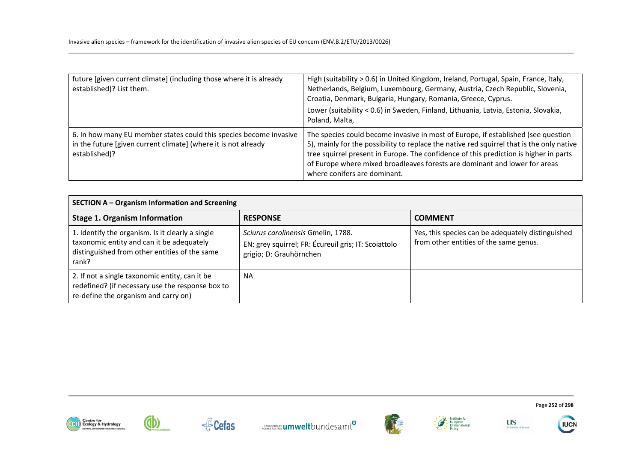| future [given current climate] (including those where it is already<br>established)? List them.                                                       | High (suitability > 0.6) in United Kingdom, Ireland, Portugal, Spain, France, Italy,<br>Netherlands, Belgium, Luxembourg, Germany, Austria, Czech Republic, Slovenia,<br>Croatia, Denmark, Bulgaria, Hungary, Romania, Greece, Cyprus.<br>Lower (suitability < 0.6) in Sweden, Finland, Lithuania, Latvia, Estonia, Slovakia,<br>Poland, Malta,                                       |
|-------------------------------------------------------------------------------------------------------------------------------------------------------|---------------------------------------------------------------------------------------------------------------------------------------------------------------------------------------------------------------------------------------------------------------------------------------------------------------------------------------------------------------------------------------|
| 6. In how many EU member states could this species become invasive<br>in the future [given current climate] (where it is not already<br>established)? | The species could become invasive in most of Europe, if established (see question<br>5), mainly for the possibility to replace the native red squirrel that is the only native<br>tree squirrel present in Europe. The confidence of this prediction is higher in parts<br>of Europe where mixed broadleaves forests are dominant and lower for areas<br>where conifers are dominant. |

| SECTION A - Organism Information and Screening                                                                                                          |                                                                                                                       |                                                                                             |
|---------------------------------------------------------------------------------------------------------------------------------------------------------|-----------------------------------------------------------------------------------------------------------------------|---------------------------------------------------------------------------------------------|
| <b>Stage 1. Organism Information</b>                                                                                                                    | <b>RESPONSE</b>                                                                                                       | <b>COMMENT</b>                                                                              |
| 1. Identify the organism. Is it clearly a single<br>taxonomic entity and can it be adequately<br>distinguished from other entities of the same<br>rank? | Sciurus carolinensis Gmelin, 1788.<br>EN: grey squirrel; FR: Écureuil gris; IT: Scoiattolo<br>grigio; D: Grauhörnchen | Yes, this species can be adequately distinguished<br>from other entities of the same genus. |
| 2. If not a single taxonomic entity, can it be<br>redefined? (if necessary use the response box to<br>re-define the organism and carry on)              | ΝA                                                                                                                    |                                                                                             |





**∉**Cefas









Page **252** of **298** 

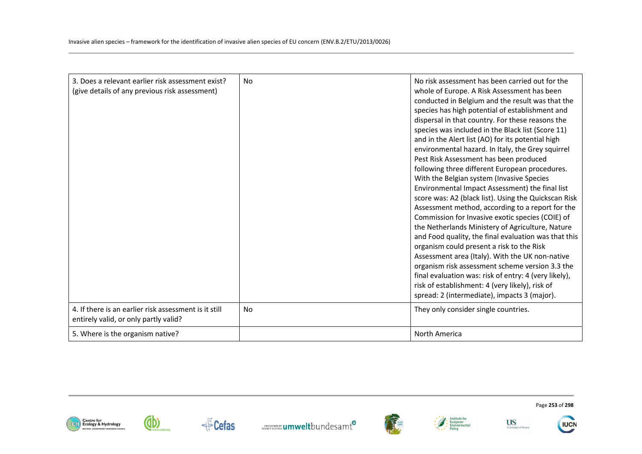| 3. Does a relevant earlier risk assessment exist?<br>(give details of any previous risk assessment) | <b>No</b> | No risk assessment has been carried out for the<br>whole of Europe. A Risk Assessment has been<br>conducted in Belgium and the result was that the<br>species has high potential of establishment and<br>dispersal in that country. For these reasons the<br>species was included in the Black list (Score 11)<br>and in the Alert list (AO) for its potential high<br>environmental hazard. In Italy, the Grey squirrel<br>Pest Risk Assessment has been produced<br>following three different European procedures.<br>With the Belgian system (Invasive Species<br>Environmental Impact Assessment) the final list<br>score was: A2 (black list). Using the Quickscan Risk<br>Assessment method, according to a report for the<br>Commission for Invasive exotic species (COIE) of<br>the Netherlands Ministery of Agriculture, Nature<br>and Food quality, the final evaluation was that this<br>organism could present a risk to the Risk<br>Assessment area (Italy). With the UK non-native<br>organism risk assessment scheme version 3.3 the<br>final evaluation was: risk of entry: 4 (very likely),<br>risk of establishment: 4 (very likely), risk of<br>spread: 2 (intermediate), impacts 3 (major). |
|-----------------------------------------------------------------------------------------------------|-----------|-----------------------------------------------------------------------------------------------------------------------------------------------------------------------------------------------------------------------------------------------------------------------------------------------------------------------------------------------------------------------------------------------------------------------------------------------------------------------------------------------------------------------------------------------------------------------------------------------------------------------------------------------------------------------------------------------------------------------------------------------------------------------------------------------------------------------------------------------------------------------------------------------------------------------------------------------------------------------------------------------------------------------------------------------------------------------------------------------------------------------------------------------------------------------------------------------------------------|
| 4. If there is an earlier risk assessment is it still<br>entirely valid, or only partly valid?      | No        | They only consider single countries.                                                                                                                                                                                                                                                                                                                                                                                                                                                                                                                                                                                                                                                                                                                                                                                                                                                                                                                                                                                                                                                                                                                                                                            |
| 5. Where is the organism native?                                                                    |           | North America                                                                                                                                                                                                                                                                                                                                                                                                                                                                                                                                                                                                                                                                                                                                                                                                                                                                                                                                                                                                                                                                                                                                                                                                   |















Page **253** of **298** 

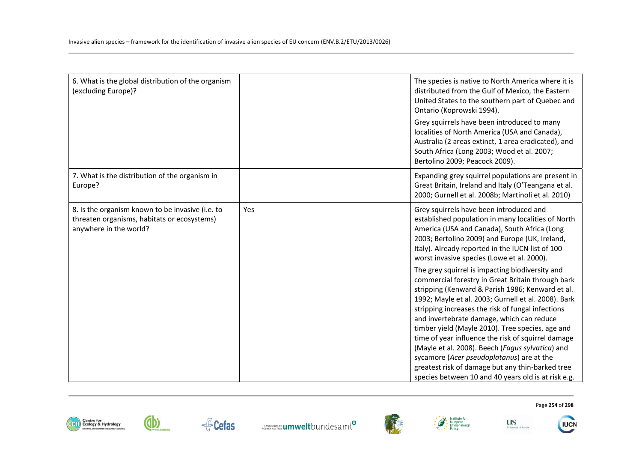| 6. What is the global distribution of the organism<br>(excluding Europe)?                                                 |     | The species is native to North America where it is<br>distributed from the Gulf of Mexico, the Eastern<br>United States to the southern part of Quebec and<br>Ontario (Koprowski 1994).                                                                                                                                                                                                                                                                                                                                                                                                                                                 |
|---------------------------------------------------------------------------------------------------------------------------|-----|-----------------------------------------------------------------------------------------------------------------------------------------------------------------------------------------------------------------------------------------------------------------------------------------------------------------------------------------------------------------------------------------------------------------------------------------------------------------------------------------------------------------------------------------------------------------------------------------------------------------------------------------|
|                                                                                                                           |     | Grey squirrels have been introduced to many<br>localities of North America (USA and Canada),<br>Australia (2 areas extinct, 1 area eradicated), and<br>South Africa (Long 2003; Wood et al. 2007;<br>Bertolino 2009; Peacock 2009).                                                                                                                                                                                                                                                                                                                                                                                                     |
| 7. What is the distribution of the organism in<br>Europe?                                                                 |     | Expanding grey squirrel populations are present in<br>Great Britain, Ireland and Italy (O'Teangana et al.<br>2000; Gurnell et al. 2008b; Martinoli et al. 2010)                                                                                                                                                                                                                                                                                                                                                                                                                                                                         |
| 8. Is the organism known to be invasive (i.e. to<br>threaten organisms, habitats or ecosystems)<br>anywhere in the world? | Yes | Grey squirrels have been introduced and<br>established population in many localities of North<br>America (USA and Canada), South Africa (Long<br>2003; Bertolino 2009) and Europe (UK, Ireland,<br>Italy). Already reported in the IUCN list of 100<br>worst invasive species (Lowe et al. 2000).                                                                                                                                                                                                                                                                                                                                       |
|                                                                                                                           |     | The grey squirrel is impacting biodiversity and<br>commercial forestry in Great Britain through bark<br>stripping (Kenward & Parish 1986; Kenward et al.<br>1992; Mayle et al. 2003; Gurnell et al. 2008). Bark<br>stripping increases the risk of fungal infections<br>and invertebrate damage, which can reduce<br>timber yield (Mayle 2010). Tree species, age and<br>time of year influence the risk of squirrel damage<br>(Mayle et al. 2008). Beech (Fagus sylvatica) and<br>sycamore (Acer pseudoplatanus) are at the<br>greatest risk of damage but any thin-barked tree<br>species between 10 and 40 years old is at risk e.g. |









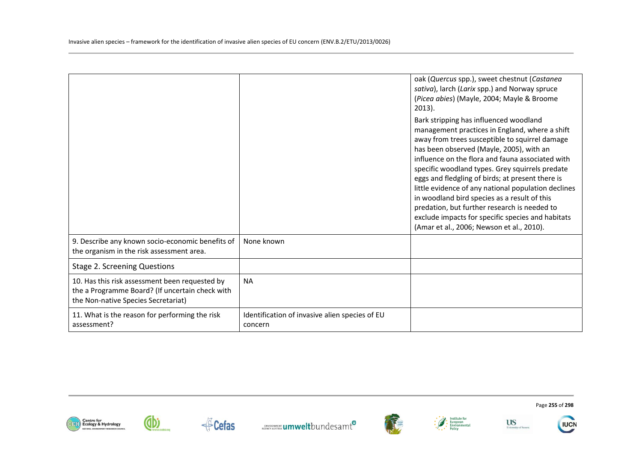|                                                                                                                                          |                                                           | oak (Quercus spp.), sweet chestnut (Castanea<br>sativa), larch (Larix spp.) and Norway spruce<br>(Picea abies) (Mayle, 2004; Mayle & Broome<br>$2013$ ).<br>Bark stripping has influenced woodland<br>management practices in England, where a shift<br>away from trees susceptible to squirrel damage<br>has been observed (Mayle, 2005), with an<br>influence on the flora and fauna associated with<br>specific woodland types. Grey squirrels predate<br>eggs and fledgling of birds; at present there is<br>little evidence of any national population declines<br>in woodland bird species as a result of this<br>predation, but further research is needed to<br>exclude impacts for specific species and habitats<br>(Amar et al., 2006; Newson et al., 2010). |
|------------------------------------------------------------------------------------------------------------------------------------------|-----------------------------------------------------------|------------------------------------------------------------------------------------------------------------------------------------------------------------------------------------------------------------------------------------------------------------------------------------------------------------------------------------------------------------------------------------------------------------------------------------------------------------------------------------------------------------------------------------------------------------------------------------------------------------------------------------------------------------------------------------------------------------------------------------------------------------------------|
| 9. Describe any known socio-economic benefits of<br>the organism in the risk assessment area.                                            | None known                                                |                                                                                                                                                                                                                                                                                                                                                                                                                                                                                                                                                                                                                                                                                                                                                                        |
| <b>Stage 2. Screening Questions</b>                                                                                                      |                                                           |                                                                                                                                                                                                                                                                                                                                                                                                                                                                                                                                                                                                                                                                                                                                                                        |
| 10. Has this risk assessment been requested by<br>the a Programme Board? (If uncertain check with<br>the Non-native Species Secretariat) | <b>NA</b>                                                 |                                                                                                                                                                                                                                                                                                                                                                                                                                                                                                                                                                                                                                                                                                                                                                        |
| 11. What is the reason for performing the risk<br>assessment?                                                                            | Identification of invasive alien species of EU<br>concern |                                                                                                                                                                                                                                                                                                                                                                                                                                                                                                                                                                                                                                                                                                                                                                        |















Page **255** of **298**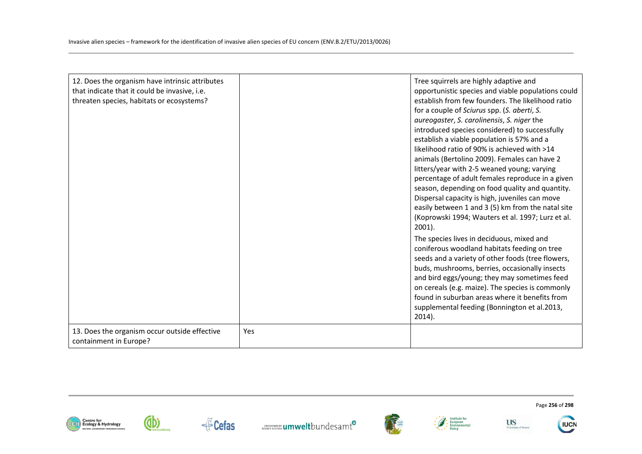| 12. Does the organism have intrinsic attributes<br>that indicate that it could be invasive, i.e.<br>threaten species, habitats or ecosystems? |     | Tree squirrels are highly adaptive and<br>opportunistic species and viable populations could<br>establish from few founders. The likelihood ratio<br>for a couple of Sciurus spp. (S. aberti, S.<br>aureogaster, S. carolinensis, S. niger the<br>introduced species considered) to successfully<br>establish a viable population is 57% and a<br>likelihood ratio of 90% is achieved with >14<br>animals (Bertolino 2009). Females can have 2<br>litters/year with 2-5 weaned young; varying<br>percentage of adult females reproduce in a given<br>season, depending on food quality and quantity.<br>Dispersal capacity is high, juveniles can move<br>easily between 1 and 3 (5) km from the natal site<br>(Koprowski 1994; Wauters et al. 1997; Lurz et al.<br>$2001$ ).<br>The species lives in deciduous, mixed and<br>coniferous woodland habitats feeding on tree<br>seeds and a variety of other foods (tree flowers,<br>buds, mushrooms, berries, occasionally insects<br>and bird eggs/young; they may sometimes feed<br>on cereals (e.g. maize). The species is commonly<br>found in suburban areas where it benefits from<br>supplemental feeding (Bonnington et al.2013,<br>$2014$ ). |
|-----------------------------------------------------------------------------------------------------------------------------------------------|-----|------------------------------------------------------------------------------------------------------------------------------------------------------------------------------------------------------------------------------------------------------------------------------------------------------------------------------------------------------------------------------------------------------------------------------------------------------------------------------------------------------------------------------------------------------------------------------------------------------------------------------------------------------------------------------------------------------------------------------------------------------------------------------------------------------------------------------------------------------------------------------------------------------------------------------------------------------------------------------------------------------------------------------------------------------------------------------------------------------------------------------------------------------------------------------------------------------|
| 13. Does the organism occur outside effective<br>containment in Europe?                                                                       | Yes |                                                                                                                                                                                                                                                                                                                                                                                                                                                                                                                                                                                                                                                                                                                                                                                                                                                                                                                                                                                                                                                                                                                                                                                                      |













Page **256** of **298** 

**IUCN**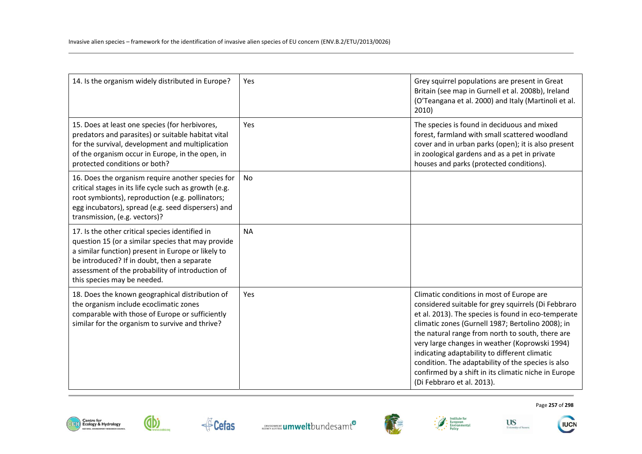| 14. Is the organism widely distributed in Europe?                                                                                                                                                                                                                                             | Yes       | Grey squirrel populations are present in Great<br>Britain (see map in Gurnell et al. 2008b), Ireland<br>(O'Teangana et al. 2000) and Italy (Martinoli et al.<br>2010)                                                                                                                                                                                                                                                                                                                                           |
|-----------------------------------------------------------------------------------------------------------------------------------------------------------------------------------------------------------------------------------------------------------------------------------------------|-----------|-----------------------------------------------------------------------------------------------------------------------------------------------------------------------------------------------------------------------------------------------------------------------------------------------------------------------------------------------------------------------------------------------------------------------------------------------------------------------------------------------------------------|
| 15. Does at least one species (for herbivores,<br>predators and parasites) or suitable habitat vital<br>for the survival, development and multiplication<br>of the organism occur in Europe, in the open, in<br>protected conditions or both?                                                 | Yes       | The species is found in deciduous and mixed<br>forest, farmland with small scattered woodland<br>cover and in urban parks (open); it is also present<br>in zoological gardens and as a pet in private<br>houses and parks (protected conditions).                                                                                                                                                                                                                                                               |
| 16. Does the organism require another species for<br>critical stages in its life cycle such as growth (e.g.<br>root symbionts), reproduction (e.g. pollinators;<br>egg incubators), spread (e.g. seed dispersers) and<br>transmission, (e.g. vectors)?                                        | <b>No</b> |                                                                                                                                                                                                                                                                                                                                                                                                                                                                                                                 |
| 17. Is the other critical species identified in<br>question 15 (or a similar species that may provide<br>a similar function) present in Europe or likely to<br>be introduced? If in doubt, then a separate<br>assessment of the probability of introduction of<br>this species may be needed. | <b>NA</b> |                                                                                                                                                                                                                                                                                                                                                                                                                                                                                                                 |
| 18. Does the known geographical distribution of<br>the organism include ecoclimatic zones<br>comparable with those of Europe or sufficiently<br>similar for the organism to survive and thrive?                                                                                               | Yes       | Climatic conditions in most of Europe are<br>considered suitable for grey squirrels (Di Febbraro<br>et al. 2013). The species is found in eco-temperate<br>climatic zones (Gurnell 1987; Bertolino 2008); in<br>the natural range from north to south, there are<br>very large changes in weather (Koprowski 1994)<br>indicating adaptability to different climatic<br>condition. The adaptability of the species is also<br>confirmed by a shift in its climatic niche in Europe<br>(Di Febbraro et al. 2013). |













**US**<br>University of Sussex

Page **257** of **298** 

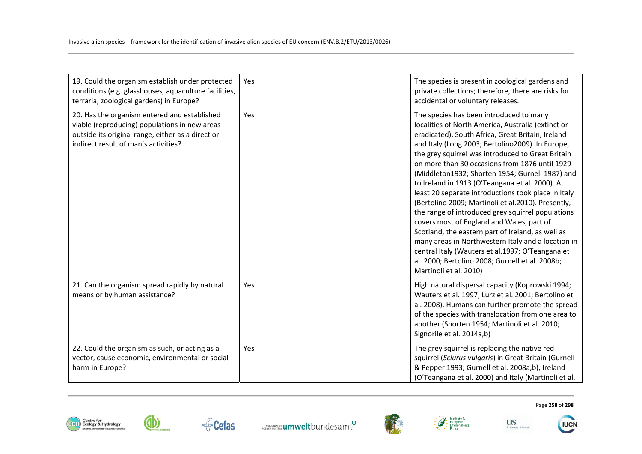| 19. Could the organism establish under protected<br>conditions (e.g. glasshouses, aquaculture facilities,<br>terraria, zoological gardens) in Europe?                                      | Yes | The species is present in zoological gardens and<br>private collections; therefore, there are risks for<br>accidental or voluntary releases.                                                                                                                                                                                                                                                                                                                                                                                                                                                                                                                                                                                                                                                                                                                                   |
|--------------------------------------------------------------------------------------------------------------------------------------------------------------------------------------------|-----|--------------------------------------------------------------------------------------------------------------------------------------------------------------------------------------------------------------------------------------------------------------------------------------------------------------------------------------------------------------------------------------------------------------------------------------------------------------------------------------------------------------------------------------------------------------------------------------------------------------------------------------------------------------------------------------------------------------------------------------------------------------------------------------------------------------------------------------------------------------------------------|
| 20. Has the organism entered and established<br>viable (reproducing) populations in new areas<br>outside its original range, either as a direct or<br>indirect result of man's activities? | Yes | The species has been introduced to many<br>localities of North America, Australia (extinct or<br>eradicated), South Africa, Great Britain, Ireland<br>and Italy (Long 2003; Bertolino2009). In Europe,<br>the grey squirrel was introduced to Great Britain<br>on more than 30 occasions from 1876 until 1929<br>(Middleton1932; Shorten 1954; Gurnell 1987) and<br>to Ireland in 1913 (O'Teangana et al. 2000). At<br>least 20 separate introductions took place in Italy<br>(Bertolino 2009; Martinoli et al.2010). Presently,<br>the range of introduced grey squirrel populations<br>covers most of England and Wales, part of<br>Scotland, the eastern part of Ireland, as well as<br>many areas in Northwestern Italy and a location in<br>central Italy (Wauters et al.1997; O'Teangana et<br>al. 2000; Bertolino 2008; Gurnell et al. 2008b;<br>Martinoli et al. 2010) |
| 21. Can the organism spread rapidly by natural<br>means or by human assistance?                                                                                                            | Yes | High natural dispersal capacity (Koprowski 1994;<br>Wauters et al. 1997; Lurz et al. 2001; Bertolino et<br>al. 2008). Humans can further promote the spread<br>of the species with translocation from one area to<br>another (Shorten 1954; Martinoli et al. 2010;<br>Signorile et al. 2014a,b)                                                                                                                                                                                                                                                                                                                                                                                                                                                                                                                                                                                |
| 22. Could the organism as such, or acting as a<br>vector, cause economic, environmental or social<br>harm in Europe?                                                                       | Yes | The grey squirrel is replacing the native red<br>squirrel (Sciurus vulgaris) in Great Britain (Gurnell<br>& Pepper 1993; Gurnell et al. 2008a,b), Ireland<br>(O'Teangana et al. 2000) and Italy (Martinoli et al.                                                                                                                                                                                                                                                                                                                                                                                                                                                                                                                                                                                                                                                              |









**US**<br>University of Sussex



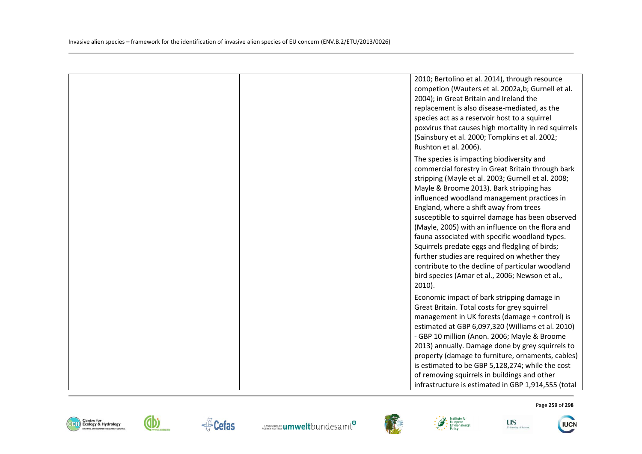|  | 2010; Bertolino et al. 2014), through resource<br>competion (Wauters et al. 2002a,b; Gurnell et al.<br>2004); in Great Britain and Ireland the<br>replacement is also disease-mediated, as the<br>species act as a reservoir host to a squirrel<br>poxvirus that causes high mortality in red squirrels<br>(Sainsbury et al. 2000; Tompkins et al. 2002;<br>Rushton et al. 2006).                                                                                                                                                                                                                                                                                         |
|--|---------------------------------------------------------------------------------------------------------------------------------------------------------------------------------------------------------------------------------------------------------------------------------------------------------------------------------------------------------------------------------------------------------------------------------------------------------------------------------------------------------------------------------------------------------------------------------------------------------------------------------------------------------------------------|
|  | The species is impacting biodiversity and<br>commercial forestry in Great Britain through bark<br>stripping (Mayle et al. 2003; Gurnell et al. 2008;<br>Mayle & Broome 2013). Bark stripping has<br>influenced woodland management practices in<br>England, where a shift away from trees<br>susceptible to squirrel damage has been observed<br>(Mayle, 2005) with an influence on the flora and<br>fauna associated with specific woodland types.<br>Squirrels predate eggs and fledgling of birds;<br>further studies are required on whether they<br>contribute to the decline of particular woodland<br>bird species (Amar et al., 2006; Newson et al.,<br>$2010$ ). |
|  | Economic impact of bark stripping damage in<br>Great Britain. Total costs for grey squirrel<br>management in UK forests (damage + control) is<br>estimated at GBP 6,097,320 (Williams et al. 2010)<br>- GBP 10 million (Anon. 2006; Mayle & Broome<br>2013) annually. Damage done by grey squirrels to<br>property (damage to furniture, ornaments, cables)<br>is estimated to be GBP 5,128,274; while the cost<br>of removing squirrels in buildings and other<br>infrastructure is estimated in GBP 1,914,555 (total                                                                                                                                                    |













**US** 

University of Susset

Page **259** of **298** 

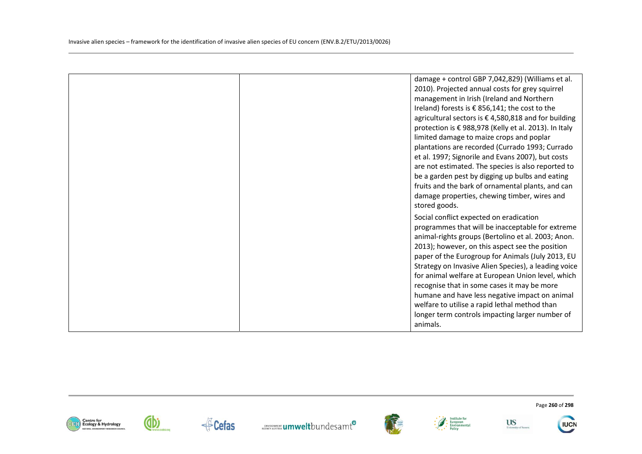|  | damage + control GBP 7,042,829) (Williams et al.<br>2010). Projected annual costs for grey squirrel<br>management in Irish (Ireland and Northern<br>Ireland) forests is € 856,141; the cost to the<br>agricultural sectors is €4,580,818 and for building<br>protection is € 988,978 (Kelly et al. 2013). In Italy<br>limited damage to maize crops and poplar<br>plantations are recorded (Currado 1993; Currado<br>et al. 1997; Signorile and Evans 2007), but costs<br>are not estimated. The species is also reported to<br>be a garden pest by digging up bulbs and eating<br>fruits and the bark of ornamental plants, and can<br>damage properties, chewing timber, wires and<br>stored goods. |
|--|-------------------------------------------------------------------------------------------------------------------------------------------------------------------------------------------------------------------------------------------------------------------------------------------------------------------------------------------------------------------------------------------------------------------------------------------------------------------------------------------------------------------------------------------------------------------------------------------------------------------------------------------------------------------------------------------------------|
|  | Social conflict expected on eradication<br>programmes that will be inacceptable for extreme<br>animal-rights groups (Bertolino et al. 2003; Anon.<br>2013); however, on this aspect see the position<br>paper of the Eurogroup for Animals (July 2013, EU<br>Strategy on Invasive Alien Species), a leading voice<br>for animal welfare at European Union level, which<br>recognise that in some cases it may be more<br>humane and have less negative impact on animal<br>welfare to utilise a rapid lethal method than<br>longer term controls impacting larger number of<br>animals.                                                                                                               |













Page **260** of **298**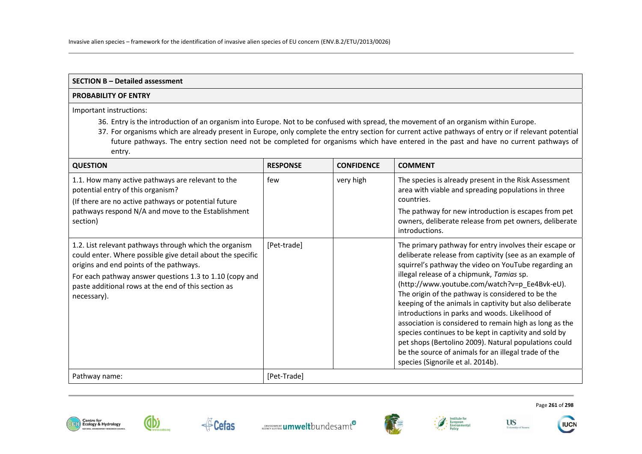#### **SECTION B – Detailed assessment**

### **PROBABILITY OF ENTRY**

Important instructions:

- 36. Entry is the introduction of an organism into Europe. Not to be confused with spread, the movement of an organism within Europe.
- 37. For organisms which are already present in Europe, only complete the entry section for current active pathways of entry or if relevant potential future pathways. The entry section need not be completed for organisms which have entered in the past and have no current pathways of entry.

| <b>QUESTION</b>                                                                                                                                                                                                                                                                                  | <b>RESPONSE</b> | <b>CONFIDENCE</b> | <b>COMMENT</b>                                                                                                                                                                                                                                                                                                                                                                                                                                                                                                                                                                                                                                                                                                       |
|--------------------------------------------------------------------------------------------------------------------------------------------------------------------------------------------------------------------------------------------------------------------------------------------------|-----------------|-------------------|----------------------------------------------------------------------------------------------------------------------------------------------------------------------------------------------------------------------------------------------------------------------------------------------------------------------------------------------------------------------------------------------------------------------------------------------------------------------------------------------------------------------------------------------------------------------------------------------------------------------------------------------------------------------------------------------------------------------|
| 1.1. How many active pathways are relevant to the<br>potential entry of this organism?<br>(If there are no active pathways or potential future<br>pathways respond N/A and move to the Establishment<br>section)                                                                                 | few             | very high         | The species is already present in the Risk Assessment<br>area with viable and spreading populations in three<br>countries.<br>The pathway for new introduction is escapes from pet<br>owners, deliberate release from pet owners, deliberate<br>introductions.                                                                                                                                                                                                                                                                                                                                                                                                                                                       |
| 1.2. List relevant pathways through which the organism<br>could enter. Where possible give detail about the specific<br>origins and end points of the pathways.<br>For each pathway answer questions 1.3 to 1.10 (copy and<br>paste additional rows at the end of this section as<br>necessary). | [Pet-trade]     |                   | The primary pathway for entry involves their escape or<br>deliberate release from captivity (see as an example of<br>squirrel's pathway the video on YouTube regarding an<br>illegal release of a chipmunk, Tamias sp.<br>(http://www.youtube.com/watch?v=p_Ee4Bvk-eU).<br>The origin of the pathway is considered to be the<br>keeping of the animals in captivity but also deliberate<br>introductions in parks and woods. Likelihood of<br>association is considered to remain high as long as the<br>species continues to be kept in captivity and sold by<br>pet shops (Bertolino 2009). Natural populations could<br>be the source of animals for an illegal trade of the<br>species (Signorile et al. 2014b). |
| Pathway name:                                                                                                                                                                                                                                                                                    | [Pet-Trade]     |                   |                                                                                                                                                                                                                                                                                                                                                                                                                                                                                                                                                                                                                                                                                                                      |





Cefas





**US** 

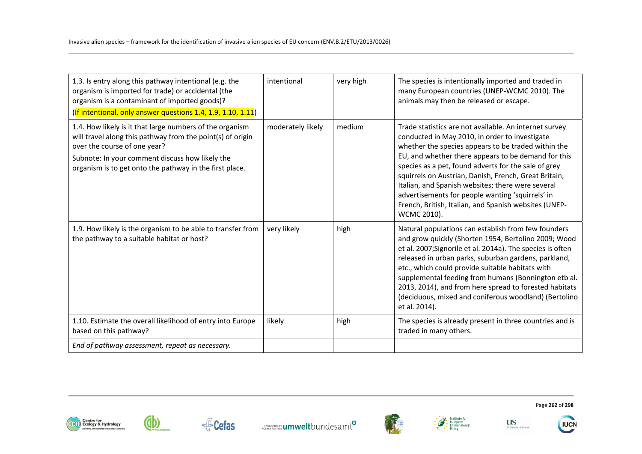| 1.3. Is entry along this pathway intentional (e.g. the<br>organism is imported for trade) or accidental (the<br>organism is a contaminant of imported goods)?<br>(If intentional, only answer questions 1.4, 1.9, 1.10, 1.11)                                        | intentional       | very high | The species is intentionally imported and traded in<br>many European countries (UNEP-WCMC 2010). The<br>animals may then be released or escape.                                                                                                                                                                                                                                                                                                                                                                          |
|----------------------------------------------------------------------------------------------------------------------------------------------------------------------------------------------------------------------------------------------------------------------|-------------------|-----------|--------------------------------------------------------------------------------------------------------------------------------------------------------------------------------------------------------------------------------------------------------------------------------------------------------------------------------------------------------------------------------------------------------------------------------------------------------------------------------------------------------------------------|
| 1.4. How likely is it that large numbers of the organism<br>will travel along this pathway from the point(s) of origin<br>over the course of one year?<br>Subnote: In your comment discuss how likely the<br>organism is to get onto the pathway in the first place. | moderately likely | medium    | Trade statistics are not available. An internet survey<br>conducted in May 2010, in order to investigate<br>whether the species appears to be traded within the<br>EU, and whether there appears to be demand for this<br>species as a pet, found adverts for the sale of grey<br>squirrels on Austrian, Danish, French, Great Britain,<br>Italian, and Spanish websites; there were several<br>advertisements for people wanting 'squirrels' in<br>French, British, Italian, and Spanish websites (UNEP-<br>WCMC 2010). |
| 1.9. How likely is the organism to be able to transfer from<br>the pathway to a suitable habitat or host?                                                                                                                                                            | very likely       | high      | Natural populations can establish from few founders<br>and grow quickly (Shorten 1954; Bertolino 2009; Wood<br>et al. 2007;Signorile et al. 2014a). The species is often<br>released in urban parks, suburban gardens, parkland,<br>etc., which could provide suitable habitats with<br>supplemental feeding from humans (Bonnington etb al.<br>2013, 2014), and from here spread to forested habitats<br>(deciduous, mixed and coniferous woodland) (Bertolino<br>et al. 2014).                                         |
| 1.10. Estimate the overall likelihood of entry into Europe<br>based on this pathway?                                                                                                                                                                                 | likely            | high      | The species is already present in three countries and is<br>traded in many others.                                                                                                                                                                                                                                                                                                                                                                                                                                       |
| End of pathway assessment, repeat as necessary.                                                                                                                                                                                                                      |                   |           |                                                                                                                                                                                                                                                                                                                                                                                                                                                                                                                          |











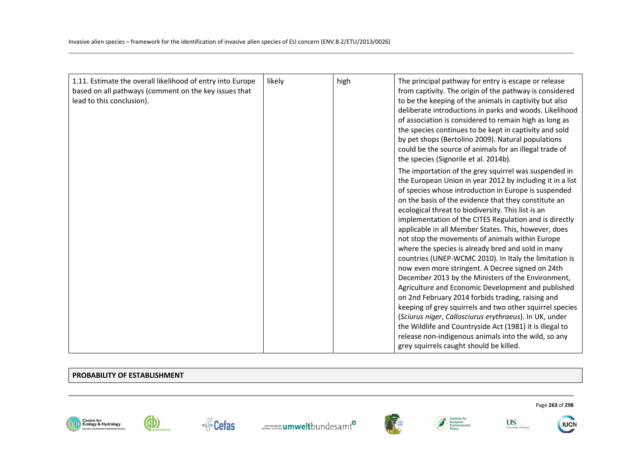| 1.11. Estimate the overall likelihood of entry into Europe<br>based on all pathways (comment on the key issues that<br>lead to this conclusion). | likely | high | The principal pathway for entry is escape or release<br>from captivity. The origin of the pathway is considered<br>to be the keeping of the animals in captivity but also<br>deliberate introductions in parks and woods. Likelihood<br>of association is considered to remain high as long as<br>the species continues to be kept in captivity and sold<br>by pet shops (Bertolino 2009). Natural populations<br>could be the source of animals for an illegal trade of<br>the species (Signorile et al. 2014b).<br>The importation of the grey squirrel was suspended in<br>the European Union in year 2012 by including it in a list<br>of species whose introduction in Europe is suspended<br>on the basis of the evidence that they constitute an<br>ecological threat to biodiversity. This list is an<br>implementation of the CITES Regulation and is directly<br>applicable in all Member States. This, however, does<br>not stop the movements of animals within Europe<br>where the species is already bred and sold in many<br>countries (UNEP-WCMC 2010). In Italy the limitation is<br>now even more stringent. A Decree signed on 24th<br>December 2013 by the Ministers of the Environment,<br>Agriculture and Economic Development and published |
|--------------------------------------------------------------------------------------------------------------------------------------------------|--------|------|--------------------------------------------------------------------------------------------------------------------------------------------------------------------------------------------------------------------------------------------------------------------------------------------------------------------------------------------------------------------------------------------------------------------------------------------------------------------------------------------------------------------------------------------------------------------------------------------------------------------------------------------------------------------------------------------------------------------------------------------------------------------------------------------------------------------------------------------------------------------------------------------------------------------------------------------------------------------------------------------------------------------------------------------------------------------------------------------------------------------------------------------------------------------------------------------------------------------------------------------------------------------|
|                                                                                                                                                  |        |      | on 2nd February 2014 forbids trading, raising and                                                                                                                                                                                                                                                                                                                                                                                                                                                                                                                                                                                                                                                                                                                                                                                                                                                                                                                                                                                                                                                                                                                                                                                                                  |
|                                                                                                                                                  |        |      | keeping of grey squirrels and two other squirrel species<br>(Sciurus niger, Callosciurus erythraeus). In UK, under<br>the Wildlife and Countryside Act (1981) it is illegal to                                                                                                                                                                                                                                                                                                                                                                                                                                                                                                                                                                                                                                                                                                                                                                                                                                                                                                                                                                                                                                                                                     |
|                                                                                                                                                  |        |      | release non-indigenous animals into the wild, so any<br>grey squirrels caught should be killed.                                                                                                                                                                                                                                                                                                                                                                                                                                                                                                                                                                                                                                                                                                                                                                                                                                                                                                                                                                                                                                                                                                                                                                    |

#### **PROBABILITY OF ESTABLISHMENT**

dbi









**US** 

University of Sussex



Page **263** of **298**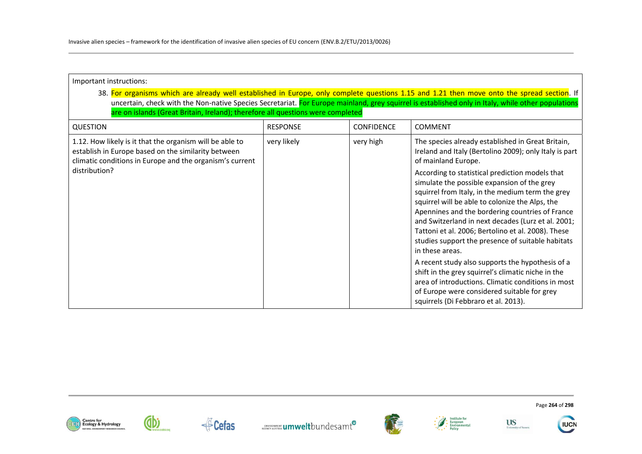| Important instructions:                                                                                                                                                                                                                                                                                                                                                              |                 |                   |                                                                                                                                                                                                                                                                                                                                                                                                                                                                                                                                                                 |  |
|--------------------------------------------------------------------------------------------------------------------------------------------------------------------------------------------------------------------------------------------------------------------------------------------------------------------------------------------------------------------------------------|-----------------|-------------------|-----------------------------------------------------------------------------------------------------------------------------------------------------------------------------------------------------------------------------------------------------------------------------------------------------------------------------------------------------------------------------------------------------------------------------------------------------------------------------------------------------------------------------------------------------------------|--|
| 38. For organisms which are already well established in Europe, only complete questions 1.15 and 1.21 then move onto the spread section. If<br>uncertain, check with the Non-native Species Secretariat. For Europe mainland, grey squirrel is established only in Italy, while other populations<br>are on islands (Great Britain, Ireland); therefore all questions were completed |                 |                   |                                                                                                                                                                                                                                                                                                                                                                                                                                                                                                                                                                 |  |
| <b>QUESTION</b>                                                                                                                                                                                                                                                                                                                                                                      | <b>RESPONSE</b> | <b>CONFIDENCE</b> | <b>COMMENT</b>                                                                                                                                                                                                                                                                                                                                                                                                                                                                                                                                                  |  |
| 1.12. How likely is it that the organism will be able to<br>establish in Europe based on the similarity between<br>climatic conditions in Europe and the organism's current<br>distribution?                                                                                                                                                                                         | very likely     | very high         | The species already established in Great Britain,<br>Ireland and Italy (Bertolino 2009); only Italy is part<br>of mainland Europe.<br>According to statistical prediction models that<br>simulate the possible expansion of the grey<br>squirrel from Italy, in the medium term the grey<br>squirrel will be able to colonize the Alps, the<br>Apennines and the bordering countries of France<br>and Switzerland in next decades (Lurz et al. 2001;<br>Tattoni et al. 2006; Bertolino et al. 2008). These<br>studies support the presence of suitable habitats |  |
|                                                                                                                                                                                                                                                                                                                                                                                      |                 |                   | in these areas.<br>A recent study also supports the hypothesis of a<br>shift in the grey squirrel's climatic niche in the<br>area of introductions. Climatic conditions in most<br>of Europe were considered suitable for grey<br>squirrels (Di Febbraro et al. 2013).                                                                                                                                                                                                                                                                                          |  |





**dbi** 









Page **264** of **298**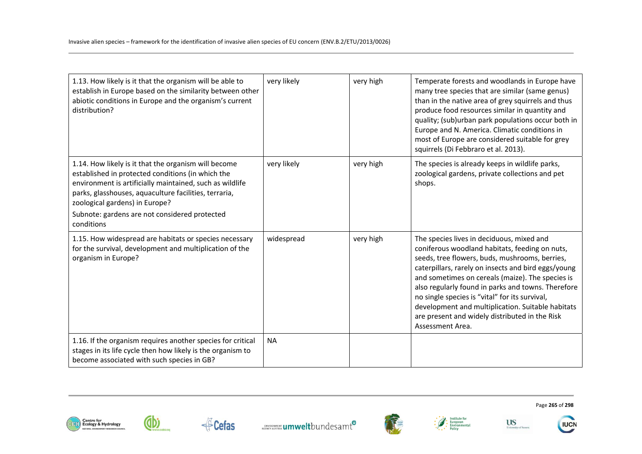| 1.13. How likely is it that the organism will be able to<br>establish in Europe based on the similarity between other<br>abiotic conditions in Europe and the organism's current<br>distribution?                                                                                                                               | very likely | very high | Temperate forests and woodlands in Europe have<br>many tree species that are similar (same genus)<br>than in the native area of grey squirrels and thus<br>produce food resources similar in quantity and<br>quality; (sub)urban park populations occur both in<br>Europe and N. America. Climatic conditions in<br>most of Europe are considered suitable for grey<br>squirrels (Di Febbraro et al. 2013).                                                                                 |
|---------------------------------------------------------------------------------------------------------------------------------------------------------------------------------------------------------------------------------------------------------------------------------------------------------------------------------|-------------|-----------|---------------------------------------------------------------------------------------------------------------------------------------------------------------------------------------------------------------------------------------------------------------------------------------------------------------------------------------------------------------------------------------------------------------------------------------------------------------------------------------------|
| 1.14. How likely is it that the organism will become<br>established in protected conditions (in which the<br>environment is artificially maintained, such as wildlife<br>parks, glasshouses, aquaculture facilities, terraria,<br>zoological gardens) in Europe?<br>Subnote: gardens are not considered protected<br>conditions | very likely | very high | The species is already keeps in wildlife parks,<br>zoological gardens, private collections and pet<br>shops.                                                                                                                                                                                                                                                                                                                                                                                |
| 1.15. How widespread are habitats or species necessary<br>for the survival, development and multiplication of the<br>organism in Europe?                                                                                                                                                                                        | widespread  | very high | The species lives in deciduous, mixed and<br>coniferous woodland habitats, feeding on nuts,<br>seeds, tree flowers, buds, mushrooms, berries,<br>caterpillars, rarely on insects and bird eggs/young<br>and sometimes on cereals (maize). The species is<br>also regularly found in parks and towns. Therefore<br>no single species is "vital" for its survival,<br>development and multiplication. Suitable habitats<br>are present and widely distributed in the Risk<br>Assessment Area. |
| 1.16. If the organism requires another species for critical<br>stages in its life cycle then how likely is the organism to<br>become associated with such species in GB?                                                                                                                                                        | <b>NA</b>   |           |                                                                                                                                                                                                                                                                                                                                                                                                                                                                                             |





dbi





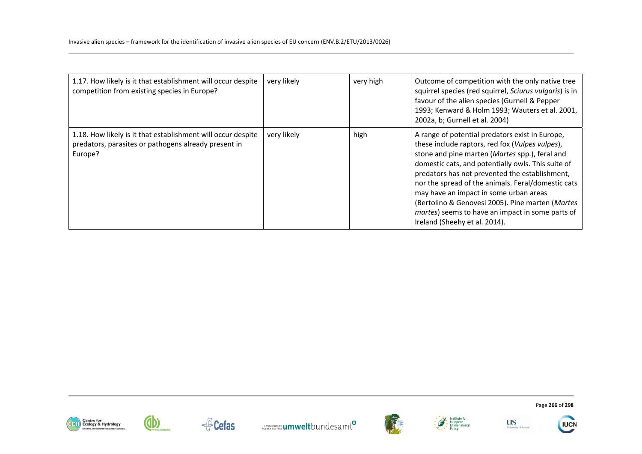| 1.17. How likely is it that establishment will occur despite<br>competition from existing species in Europe?                    | very likely | very high | Outcome of competition with the only native tree<br>squirrel species (red squirrel, Sciurus vulgaris) is in<br>favour of the alien species (Gurnell & Pepper<br>1993; Kenward & Holm 1993; Wauters et al. 2001,<br>2002a, b; Gurnell et al. 2004)                                                                                                                                                                                                                                                     |
|---------------------------------------------------------------------------------------------------------------------------------|-------------|-----------|-------------------------------------------------------------------------------------------------------------------------------------------------------------------------------------------------------------------------------------------------------------------------------------------------------------------------------------------------------------------------------------------------------------------------------------------------------------------------------------------------------|
| 1.18. How likely is it that establishment will occur despite<br>predators, parasites or pathogens already present in<br>Europe? | very likely | high      | A range of potential predators exist in Europe,<br>these include raptors, red fox (Vulpes vulpes),<br>stone and pine marten (Martes spp.), feral and<br>domestic cats, and potentially owls. This suite of<br>predators has not prevented the establishment,<br>nor the spread of the animals. Feral/domestic cats<br>may have an impact in some urban areas<br>(Bertolino & Genovesi 2005). Pine marten (Martes<br>martes) seems to have an impact in some parts of<br>Ireland (Sheehy et al. 2014). |

















Page **266** of **298**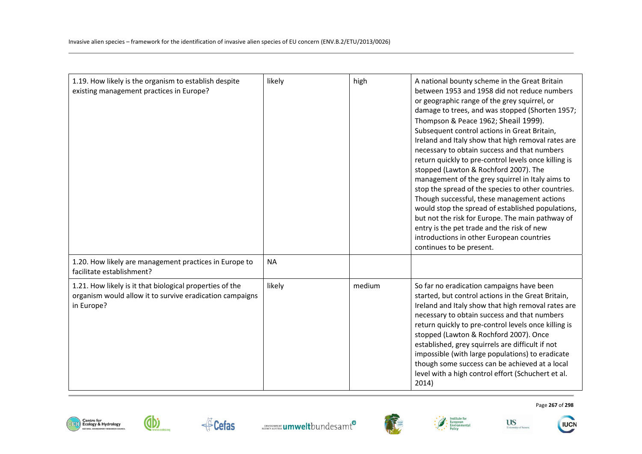| 1.19. How likely is the organism to establish despite<br>existing management practices in Europe?                                  | likely    | high   | A national bounty scheme in the Great Britain<br>between 1953 and 1958 did not reduce numbers<br>or geographic range of the grey squirrel, or<br>damage to trees, and was stopped (Shorten 1957;<br>Thompson & Peace 1962; Sheail 1999).<br>Subsequent control actions in Great Britain,<br>Ireland and Italy show that high removal rates are<br>necessary to obtain success and that numbers<br>return quickly to pre-control levels once killing is<br>stopped (Lawton & Rochford 2007). The<br>management of the grey squirrel in Italy aims to<br>stop the spread of the species to other countries.<br>Though successful, these management actions<br>would stop the spread of established populations,<br>but not the risk for Europe. The main pathway of<br>entry is the pet trade and the risk of new<br>introductions in other European countries<br>continues to be present. |
|------------------------------------------------------------------------------------------------------------------------------------|-----------|--------|------------------------------------------------------------------------------------------------------------------------------------------------------------------------------------------------------------------------------------------------------------------------------------------------------------------------------------------------------------------------------------------------------------------------------------------------------------------------------------------------------------------------------------------------------------------------------------------------------------------------------------------------------------------------------------------------------------------------------------------------------------------------------------------------------------------------------------------------------------------------------------------|
| 1.20. How likely are management practices in Europe to<br>facilitate establishment?                                                | <b>NA</b> |        |                                                                                                                                                                                                                                                                                                                                                                                                                                                                                                                                                                                                                                                                                                                                                                                                                                                                                          |
| 1.21. How likely is it that biological properties of the<br>organism would allow it to survive eradication campaigns<br>in Europe? | likely    | medium | So far no eradication campaigns have been<br>started, but control actions in the Great Britain,<br>Ireland and Italy show that high removal rates are<br>necessary to obtain success and that numbers<br>return quickly to pre-control levels once killing is<br>stopped (Lawton & Rochford 2007). Once<br>established, grey squirrels are difficult if not<br>impossible (with large populations) to eradicate<br>though some success can be achieved at a local<br>level with a high control effort (Schuchert et al.<br>2014)                                                                                                                                                                                                                                                                                                                                                         |











Page **267** of **298** 

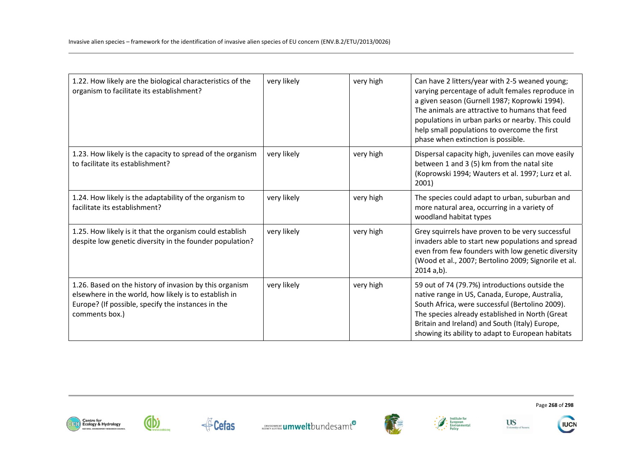| 1.22. How likely are the biological characteristics of the<br>organism to facilitate its establishment?                                                                                  | very likely | very high | Can have 2 litters/year with 2-5 weaned young;<br>varying percentage of adult females reproduce in<br>a given season (Gurnell 1987; Koprowki 1994).<br>The animals are attractive to humans that feed<br>populations in urban parks or nearby. This could<br>help small populations to overcome the first<br>phase when extinction is possible. |
|------------------------------------------------------------------------------------------------------------------------------------------------------------------------------------------|-------------|-----------|-------------------------------------------------------------------------------------------------------------------------------------------------------------------------------------------------------------------------------------------------------------------------------------------------------------------------------------------------|
| 1.23. How likely is the capacity to spread of the organism<br>to facilitate its establishment?                                                                                           | very likely | very high | Dispersal capacity high, juveniles can move easily<br>between 1 and 3 (5) km from the natal site<br>(Koprowski 1994; Wauters et al. 1997; Lurz et al.<br>2001)                                                                                                                                                                                  |
| 1.24. How likely is the adaptability of the organism to<br>facilitate its establishment?                                                                                                 | very likely | very high | The species could adapt to urban, suburban and<br>more natural area, occurring in a variety of<br>woodland habitat types                                                                                                                                                                                                                        |
| 1.25. How likely is it that the organism could establish<br>despite low genetic diversity in the founder population?                                                                     | very likely | very high | Grey squirrels have proven to be very successful<br>invaders able to start new populations and spread<br>even from few founders with low genetic diversity<br>(Wood et al., 2007; Bertolino 2009; Signorile et al.<br>$2014 a,b$ ).                                                                                                             |
| 1.26. Based on the history of invasion by this organism<br>elsewhere in the world, how likely is to establish in<br>Europe? (If possible, specify the instances in the<br>comments box.) | very likely | very high | 59 out of 74 (79.7%) introductions outside the<br>native range in US, Canada, Europe, Australia,<br>South Africa, were successful (Bertolino 2009).<br>The species already established in North (Great<br>Britain and Ireland) and South (Italy) Europe,<br>showing its ability to adapt to European habitats                                   |













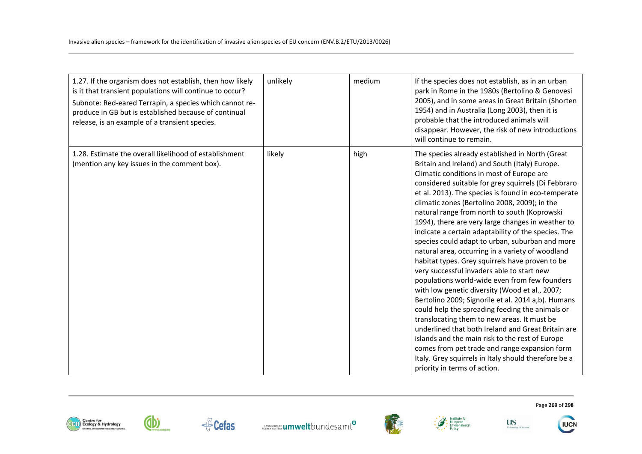| 1.27. If the organism does not establish, then how likely<br>is it that transient populations will continue to occur?<br>Subnote: Red-eared Terrapin, a species which cannot re-<br>produce in GB but is established because of continual<br>release, is an example of a transient species. | unlikely | medium | If the species does not establish, as in an urban<br>park in Rome in the 1980s (Bertolino & Genovesi<br>2005), and in some areas in Great Britain (Shorten<br>1954) and in Australia (Long 2003), then it is<br>probable that the introduced animals will<br>disappear. However, the risk of new introductions<br>will continue to remain.                                                                                                                                                                                                                                                                                                                                                                                                                                                                                                                                                                                                                                                                                                                                                                                                                                                     |
|---------------------------------------------------------------------------------------------------------------------------------------------------------------------------------------------------------------------------------------------------------------------------------------------|----------|--------|------------------------------------------------------------------------------------------------------------------------------------------------------------------------------------------------------------------------------------------------------------------------------------------------------------------------------------------------------------------------------------------------------------------------------------------------------------------------------------------------------------------------------------------------------------------------------------------------------------------------------------------------------------------------------------------------------------------------------------------------------------------------------------------------------------------------------------------------------------------------------------------------------------------------------------------------------------------------------------------------------------------------------------------------------------------------------------------------------------------------------------------------------------------------------------------------|
| 1.28. Estimate the overall likelihood of establishment<br>(mention any key issues in the comment box).                                                                                                                                                                                      | likely   | high   | The species already established in North (Great<br>Britain and Ireland) and South (Italy) Europe.<br>Climatic conditions in most of Europe are<br>considered suitable for grey squirrels (Di Febbraro<br>et al. 2013). The species is found in eco-temperate<br>climatic zones (Bertolino 2008, 2009); in the<br>natural range from north to south (Koprowski<br>1994), there are very large changes in weather to<br>indicate a certain adaptability of the species. The<br>species could adapt to urban, suburban and more<br>natural area, occurring in a variety of woodland<br>habitat types. Grey squirrels have proven to be<br>very successful invaders able to start new<br>populations world-wide even from few founders<br>with low genetic diversity (Wood et al., 2007;<br>Bertolino 2009; Signorile et al. 2014 a,b). Humans<br>could help the spreading feeding the animals or<br>translocating them to new areas. It must be<br>underlined that both Ireland and Great Britain are<br>islands and the main risk to the rest of Europe<br>comes from pet trade and range expansion form<br>Italy. Grey squirrels in Italy should therefore be a<br>priority in terms of action. |





←<sup>E</sup>Cefas









Page **269** of **298**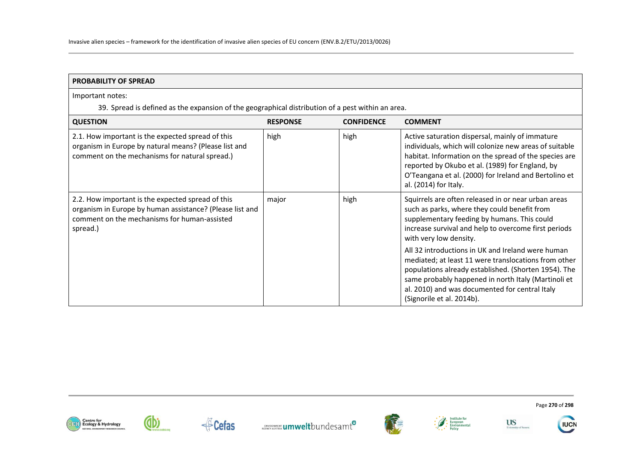| <b>PROBABILITY OF SPREAD</b>                                                                                                                                              |                 |                   |                                                                                                                                                                                                                                                                                                         |  |
|---------------------------------------------------------------------------------------------------------------------------------------------------------------------------|-----------------|-------------------|---------------------------------------------------------------------------------------------------------------------------------------------------------------------------------------------------------------------------------------------------------------------------------------------------------|--|
| Important notes:                                                                                                                                                          |                 |                   |                                                                                                                                                                                                                                                                                                         |  |
| 39. Spread is defined as the expansion of the geographical distribution of a pest within an area.                                                                         |                 |                   |                                                                                                                                                                                                                                                                                                         |  |
| <b>QUESTION</b>                                                                                                                                                           | <b>RESPONSE</b> | <b>CONFIDENCE</b> | <b>COMMENT</b>                                                                                                                                                                                                                                                                                          |  |
| 2.1. How important is the expected spread of this<br>organism in Europe by natural means? (Please list and<br>comment on the mechanisms for natural spread.)              | high            | high              | Active saturation dispersal, mainly of immature<br>individuals, which will colonize new areas of suitable<br>habitat. Information on the spread of the species are<br>reported by Okubo et al. (1989) for England, by<br>O'Teangana et al. (2000) for Ireland and Bertolino et<br>al. (2014) for Italy. |  |
| 2.2. How important is the expected spread of this<br>organism in Europe by human assistance? (Please list and<br>comment on the mechanisms for human-assisted<br>spread.) | major           | high              | Squirrels are often released in or near urban areas<br>such as parks, where they could benefit from<br>supplementary feeding by humans. This could<br>increase survival and help to overcome first periods<br>with very low density.                                                                    |  |
|                                                                                                                                                                           |                 |                   | All 32 introductions in UK and Ireland were human<br>mediated; at least 11 were translocations from other<br>populations already established. (Shorten 1954). The<br>same probably happened in north Italy (Martinoli et<br>al. 2010) and was documented for central Italy<br>(Signorile et al. 2014b). |  |















Page **270** of **298**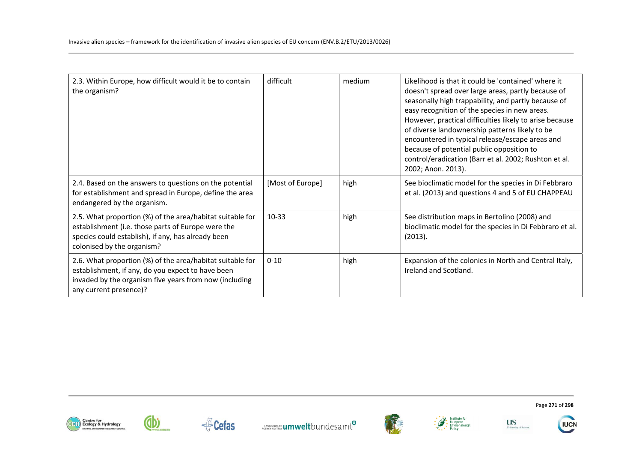| 2.3. Within Europe, how difficult would it be to contain<br>the organism?                                                                                                                           | difficult        | medium | Likelihood is that it could be 'contained' where it<br>doesn't spread over large areas, partly because of<br>seasonally high trappability, and partly because of<br>easy recognition of the species in new areas.<br>However, practical difficulties likely to arise because<br>of diverse landownership patterns likely to be<br>encountered in typical release/escape areas and<br>because of potential public opposition to<br>control/eradication (Barr et al. 2002; Rushton et al.<br>2002; Anon. 2013). |
|-----------------------------------------------------------------------------------------------------------------------------------------------------------------------------------------------------|------------------|--------|---------------------------------------------------------------------------------------------------------------------------------------------------------------------------------------------------------------------------------------------------------------------------------------------------------------------------------------------------------------------------------------------------------------------------------------------------------------------------------------------------------------|
| 2.4. Based on the answers to questions on the potential<br>for establishment and spread in Europe, define the area<br>endangered by the organism.                                                   | [Most of Europe] | high   | See bioclimatic model for the species in Di Febbraro<br>et al. (2013) and questions 4 and 5 of EU CHAPPEAU                                                                                                                                                                                                                                                                                                                                                                                                    |
| 2.5. What proportion (%) of the area/habitat suitable for<br>establishment (i.e. those parts of Europe were the<br>species could establish), if any, has already been<br>colonised by the organism? | 10-33            | high   | See distribution maps in Bertolino (2008) and<br>bioclimatic model for the species in Di Febbraro et al.<br>(2013).                                                                                                                                                                                                                                                                                                                                                                                           |
| 2.6. What proportion (%) of the area/habitat suitable for<br>establishment, if any, do you expect to have been<br>invaded by the organism five years from now (including<br>any current presence)?  | $0 - 10$         | high   | Expansion of the colonies in North and Central Italy,<br>Ireland and Scotland.                                                                                                                                                                                                                                                                                                                                                                                                                                |







Cefas **Expression Control Cercamer umwelt**bundesamt<sup>o</sup>









Page **271** of **298**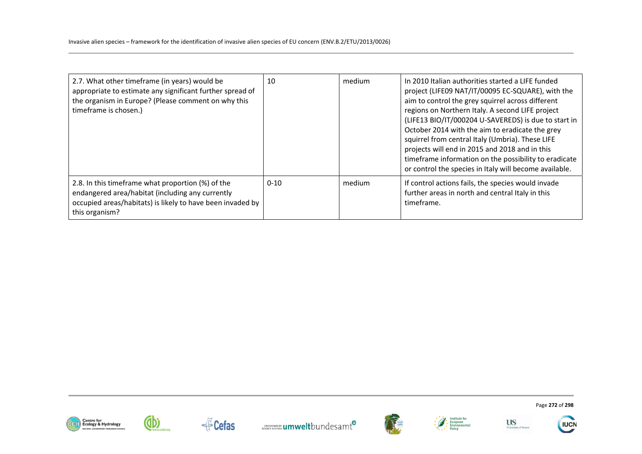| 2.7. What other timeframe (in years) would be<br>appropriate to estimate any significant further spread of<br>the organism in Europe? (Please comment on why this<br>timeframe is chosen.) | 10       | medium | In 2010 Italian authorities started a LIFE funded<br>project (LIFE09 NAT/IT/00095 EC-SQUARE), with the<br>aim to control the grey squirrel across different<br>regions on Northern Italy. A second LIFE project<br>(LIFE13 BIO/IT/000204 U-SAVEREDS) is due to start in<br>October 2014 with the aim to eradicate the grey<br>squirrel from central Italy (Umbria). These LIFE<br>projects will end in 2015 and 2018 and in this<br>timeframe information on the possibility to eradicate<br>or control the species in Italy will become available. |
|--------------------------------------------------------------------------------------------------------------------------------------------------------------------------------------------|----------|--------|-----------------------------------------------------------------------------------------------------------------------------------------------------------------------------------------------------------------------------------------------------------------------------------------------------------------------------------------------------------------------------------------------------------------------------------------------------------------------------------------------------------------------------------------------------|
| 2.8. In this timeframe what proportion (%) of the<br>endangered area/habitat (including any currently<br>occupied areas/habitats) is likely to have been invaded by<br>this organism?      | $0 - 10$ | medium | If control actions fails, the species would invade<br>further areas in north and central Italy in this<br>timeframe.                                                                                                                                                                                                                                                                                                                                                                                                                                |













Page **272** of **298** 



University of Susset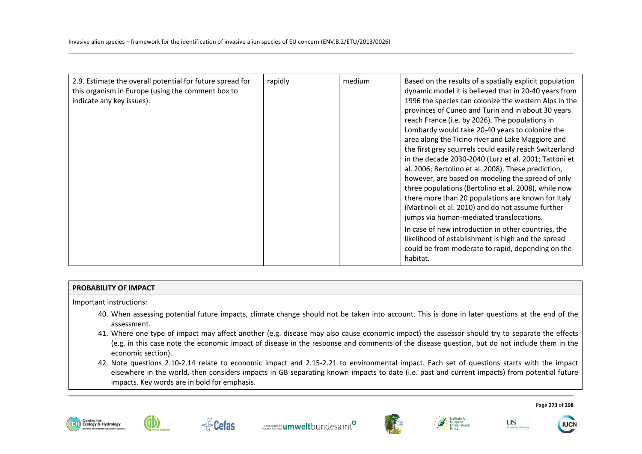| 2.9. Estimate the overall potential for future spread for<br>this organism in Europe (using the comment box to<br>indicate any key issues). | rapidly | medium | Based on the results of a spatially explicit population<br>dynamic model it is believed that in 20-40 years from<br>1996 the species can colonize the western Alps in the<br>provinces of Cuneo and Turin and in about 30 years<br>reach France (i.e. by 2026). The populations in<br>Lombardy would take 20-40 years to colonize the<br>area along the Ticino river and Lake Maggiore and<br>the first grey squirrels could easily reach Switzerland<br>in the decade 2030-2040 (Lurz et al. 2001; Tattoni et<br>al. 2006; Bertolino et al. 2008). These prediction,<br>however, are based on modeling the spread of only<br>three populations (Bertolino et al. 2008), while now<br>there more than 20 populations are known for Italy<br>(Martinoli et al. 2010) and do not assume further<br>jumps via human-mediated translocations.<br>In case of new introduction in other countries, the |
|---------------------------------------------------------------------------------------------------------------------------------------------|---------|--------|--------------------------------------------------------------------------------------------------------------------------------------------------------------------------------------------------------------------------------------------------------------------------------------------------------------------------------------------------------------------------------------------------------------------------------------------------------------------------------------------------------------------------------------------------------------------------------------------------------------------------------------------------------------------------------------------------------------------------------------------------------------------------------------------------------------------------------------------------------------------------------------------------|
|                                                                                                                                             |         |        | likelihood of establishment is high and the spread<br>could be from moderate to rapid, depending on the<br>habitat.                                                                                                                                                                                                                                                                                                                                                                                                                                                                                                                                                                                                                                                                                                                                                                              |

## **PROBABILITY OF IMPACT**

Important instructions:

- 40. When assessing potential future impacts, climate change should not be taken into account. This is done in later questions at the end of the assessment.
- 41. Where one type of impact may affect another (e.g. disease may also cause economic impact) the assessor should try to separate the effects (e.g. in this case note the economic impact of disease in the response and comments of the disease question, but do not include them in the economic section).
- 42. Note questions 2.10-2.14 relate to economic impact and 2.15-2.21 to environmental impact. Each set of questions starts with the impact elsewhere in the world, then considers impacts in GB separating known impacts to date (i.e. past and current impacts) from potential future impacts. Key words are in bold for emphasis.











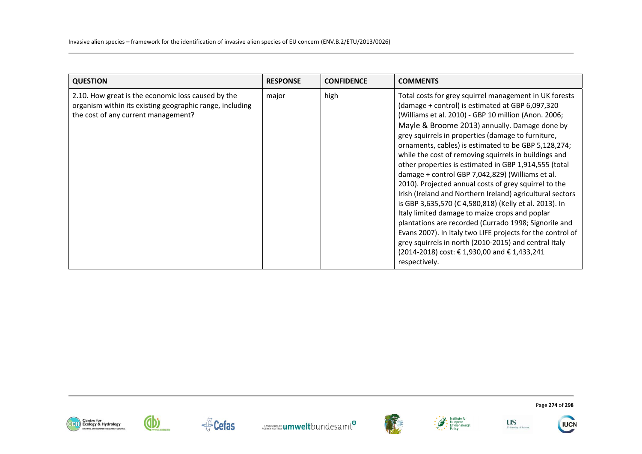| <b>QUESTION</b>                                                                                                                                       | <b>RESPONSE</b> | <b>CONFIDENCE</b> | <b>COMMENTS</b>                                                                                                                                                                                                                                                                                                                                                                                                                                                                                                                                                                                                                                                                                                                                                                                                                                                                                                                                                                            |
|-------------------------------------------------------------------------------------------------------------------------------------------------------|-----------------|-------------------|--------------------------------------------------------------------------------------------------------------------------------------------------------------------------------------------------------------------------------------------------------------------------------------------------------------------------------------------------------------------------------------------------------------------------------------------------------------------------------------------------------------------------------------------------------------------------------------------------------------------------------------------------------------------------------------------------------------------------------------------------------------------------------------------------------------------------------------------------------------------------------------------------------------------------------------------------------------------------------------------|
| 2.10. How great is the economic loss caused by the<br>organism within its existing geographic range, including<br>the cost of any current management? | major           | high              | Total costs for grey squirrel management in UK forests<br>(damage + control) is estimated at GBP 6,097,320<br>(Williams et al. 2010) - GBP 10 million (Anon. 2006;<br>Mayle & Broome 2013) annually. Damage done by<br>grey squirrels in properties (damage to furniture,<br>ornaments, cables) is estimated to be GBP 5,128,274;<br>while the cost of removing squirrels in buildings and<br>other properties is estimated in GBP 1,914,555 (total<br>damage + control GBP 7,042,829) (Williams et al.<br>2010). Projected annual costs of grey squirrel to the<br>Irish (Ireland and Northern Ireland) agricultural sectors<br>is GBP 3,635,570 (€ 4,580,818) (Kelly et al. 2013). In<br>Italy limited damage to maize crops and poplar<br>plantations are recorded (Currado 1998; Signorile and<br>Evans 2007). In Italy two LIFE projects for the control of<br>grey squirrels in north (2010-2015) and central Italy<br>(2014-2018) cost: € 1,930,00 and € 1,433,241<br>respectively. |















Page **274** of **298**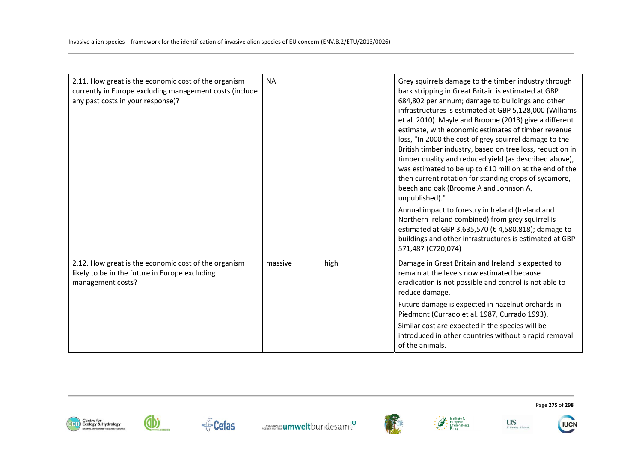| 2.11. How great is the economic cost of the organism<br>currently in Europe excluding management costs (include<br>any past costs in your response)? | <b>NA</b> |      | Grey squirrels damage to the timber industry through<br>bark stripping in Great Britain is estimated at GBP<br>684,802 per annum; damage to buildings and other<br>infrastructures is estimated at GBP 5,128,000 (Williams<br>et al. 2010). Mayle and Broome (2013) give a different<br>estimate, with economic estimates of timber revenue<br>loss, "In 2000 the cost of grey squirrel damage to the<br>British timber industry, based on tree loss, reduction in<br>timber quality and reduced yield (as described above),<br>was estimated to be up to £10 million at the end of the<br>then current rotation for standing crops of sycamore,<br>beech and oak (Broome A and Johnson A,<br>unpublished)."<br>Annual impact to forestry in Ireland (Ireland and<br>Northern Ireland combined) from grey squirrel is<br>estimated at GBP 3,635,570 (€ 4,580,818); damage to<br>buildings and other infrastructures is estimated at GBP<br>571,487 (€720,074) |
|------------------------------------------------------------------------------------------------------------------------------------------------------|-----------|------|---------------------------------------------------------------------------------------------------------------------------------------------------------------------------------------------------------------------------------------------------------------------------------------------------------------------------------------------------------------------------------------------------------------------------------------------------------------------------------------------------------------------------------------------------------------------------------------------------------------------------------------------------------------------------------------------------------------------------------------------------------------------------------------------------------------------------------------------------------------------------------------------------------------------------------------------------------------|
| 2.12. How great is the economic cost of the organism<br>likely to be in the future in Europe excluding<br>management costs?                          | massive   | high | Damage in Great Britain and Ireland is expected to<br>remain at the levels now estimated because<br>eradication is not possible and control is not able to<br>reduce damage.                                                                                                                                                                                                                                                                                                                                                                                                                                                                                                                                                                                                                                                                                                                                                                                  |
|                                                                                                                                                      |           |      | Future damage is expected in hazelnut orchards in<br>Piedmont (Currado et al. 1987, Currado 1993).                                                                                                                                                                                                                                                                                                                                                                                                                                                                                                                                                                                                                                                                                                                                                                                                                                                            |
|                                                                                                                                                      |           |      | Similar cost are expected if the species will be<br>introduced in other countries without a rapid removal<br>of the animals.                                                                                                                                                                                                                                                                                                                                                                                                                                                                                                                                                                                                                                                                                                                                                                                                                                  |











**US** 

University of Susset

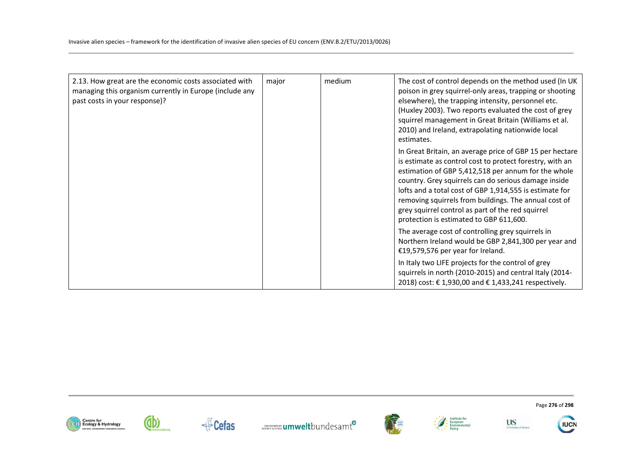| 2.13. How great are the economic costs associated with<br>managing this organism currently in Europe (include any<br>past costs in your response)? | major | medium | The cost of control depends on the method used (In UK<br>poison in grey squirrel-only areas, trapping or shooting<br>elsewhere), the trapping intensity, personnel etc.<br>(Huxley 2003). Two reports evaluated the cost of grey<br>squirrel management in Great Britain (Williams et al.<br>2010) and Ireland, extrapolating nationwide local<br>estimates.                                                                                            |
|----------------------------------------------------------------------------------------------------------------------------------------------------|-------|--------|---------------------------------------------------------------------------------------------------------------------------------------------------------------------------------------------------------------------------------------------------------------------------------------------------------------------------------------------------------------------------------------------------------------------------------------------------------|
|                                                                                                                                                    |       |        | In Great Britain, an average price of GBP 15 per hectare<br>is estimate as control cost to protect forestry, with an<br>estimation of GBP 5,412,518 per annum for the whole<br>country. Grey squirrels can do serious damage inside<br>lofts and a total cost of GBP 1,914,555 is estimate for<br>removing squirrels from buildings. The annual cost of<br>grey squirrel control as part of the red squirrel<br>protection is estimated to GBP 611,600. |
|                                                                                                                                                    |       |        | The average cost of controlling grey squirrels in<br>Northern Ireland would be GBP 2,841,300 per year and<br>€19,579,576 per year for Ireland.                                                                                                                                                                                                                                                                                                          |
|                                                                                                                                                    |       |        | In Italy two LIFE projects for the control of grey<br>squirrels in north (2010-2015) and central Italy (2014-<br>2018) cost: € 1,930,00 and € 1,433,241 respectively.                                                                                                                                                                                                                                                                                   |













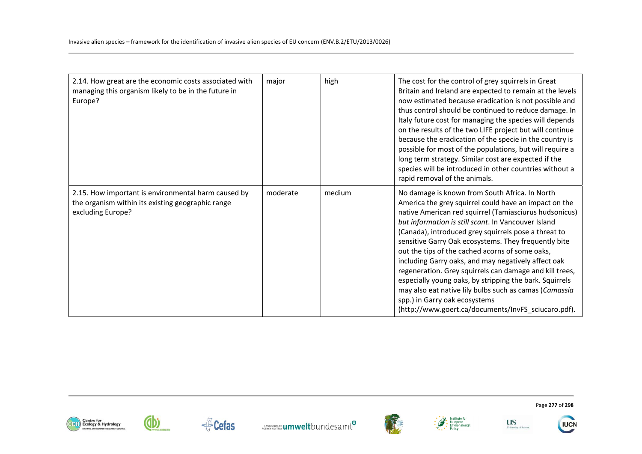| 2.14. How great are the economic costs associated with<br>managing this organism likely to be in the future in<br>Europe?     | major    | high   | The cost for the control of grey squirrels in Great<br>Britain and Ireland are expected to remain at the levels<br>now estimated because eradication is not possible and<br>thus control should be continued to reduce damage. In<br>Italy future cost for managing the species will depends<br>on the results of the two LIFE project but will continue<br>because the eradication of the specie in the country is<br>possible for most of the populations, but will require a<br>long term strategy. Similar cost are expected if the<br>species will be introduced in other countries without a<br>rapid removal of the animals.                                                                                        |
|-------------------------------------------------------------------------------------------------------------------------------|----------|--------|----------------------------------------------------------------------------------------------------------------------------------------------------------------------------------------------------------------------------------------------------------------------------------------------------------------------------------------------------------------------------------------------------------------------------------------------------------------------------------------------------------------------------------------------------------------------------------------------------------------------------------------------------------------------------------------------------------------------------|
| 2.15. How important is environmental harm caused by<br>the organism within its existing geographic range<br>excluding Europe? | moderate | medium | No damage is known from South Africa. In North<br>America the grey squirrel could have an impact on the<br>native American red squirrel (Tamiasciurus hudsonicus)<br>but information is still scant. In Vancouver Island<br>(Canada), introduced grey squirrels pose a threat to<br>sensitive Garry Oak ecosystems. They frequently bite<br>out the tips of the cached acorns of some oaks,<br>including Garry oaks, and may negatively affect oak<br>regeneration. Grey squirrels can damage and kill trees,<br>especially young oaks, by stripping the bark. Squirrels<br>may also eat native lily bulbs such as camas (Camassia<br>spp.) in Garry oak ecosystems<br>(http://www.goert.ca/documents/InvFS_sciucaro.pdf). |





dbi









Page **277** of **298** 

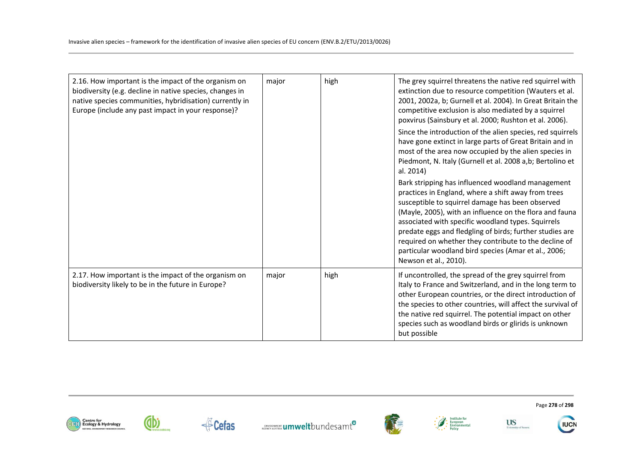| 2.16. How important is the impact of the organism on<br>biodiversity (e.g. decline in native species, changes in<br>native species communities, hybridisation) currently in<br>Europe (include any past impact in your response)? | major | high | The grey squirrel threatens the native red squirrel with<br>extinction due to resource competition (Wauters et al.<br>2001, 2002a, b; Gurnell et al. 2004). In Great Britain the<br>competitive exclusion is also mediated by a squirrel<br>poxvirus (Sainsbury et al. 2000; Rushton et al. 2006).<br>Since the introduction of the alien species, red squirrels<br>have gone extinct in large parts of Great Britain and in<br>most of the area now occupied by the alien species in<br>Piedmont, N. Italy (Gurnell et al. 2008 a,b; Bertolino et<br>al. 2014)<br>Bark stripping has influenced woodland management<br>practices in England, where a shift away from trees<br>susceptible to squirrel damage has been observed<br>(Mayle, 2005), with an influence on the flora and fauna<br>associated with specific woodland types. Squirrels<br>predate eggs and fledgling of birds; further studies are<br>required on whether they contribute to the decline of<br>particular woodland bird species (Amar et al., 2006;<br>Newson et al., 2010). |
|-----------------------------------------------------------------------------------------------------------------------------------------------------------------------------------------------------------------------------------|-------|------|--------------------------------------------------------------------------------------------------------------------------------------------------------------------------------------------------------------------------------------------------------------------------------------------------------------------------------------------------------------------------------------------------------------------------------------------------------------------------------------------------------------------------------------------------------------------------------------------------------------------------------------------------------------------------------------------------------------------------------------------------------------------------------------------------------------------------------------------------------------------------------------------------------------------------------------------------------------------------------------------------------------------------------------------------------|
| 2.17. How important is the impact of the organism on<br>biodiversity likely to be in the future in Europe?                                                                                                                        | major | high | If uncontrolled, the spread of the grey squirrel from<br>Italy to France and Switzerland, and in the long term to<br>other European countries, or the direct introduction of<br>the species to other countries, will affect the survival of<br>the native red squirrel. The potential impact on other<br>species such as woodland birds or glirids is unknown<br>but possible                                                                                                                                                                                                                                                                                                                                                                                                                                                                                                                                                                                                                                                                          |













University of Susset



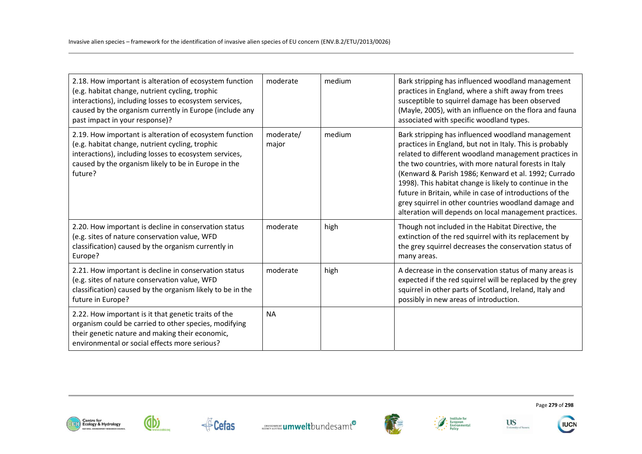| 2.18. How important is alteration of ecosystem function<br>(e.g. habitat change, nutrient cycling, trophic<br>interactions), including losses to ecosystem services,<br>caused by the organism currently in Europe (include any<br>past impact in your response)? | moderate           | medium | Bark stripping has influenced woodland management<br>practices in England, where a shift away from trees<br>susceptible to squirrel damage has been observed<br>(Mayle, 2005), with an influence on the flora and fauna<br>associated with specific woodland types.                                                                                                                                                                                                                                                              |
|-------------------------------------------------------------------------------------------------------------------------------------------------------------------------------------------------------------------------------------------------------------------|--------------------|--------|----------------------------------------------------------------------------------------------------------------------------------------------------------------------------------------------------------------------------------------------------------------------------------------------------------------------------------------------------------------------------------------------------------------------------------------------------------------------------------------------------------------------------------|
| 2.19. How important is alteration of ecosystem function<br>(e.g. habitat change, nutrient cycling, trophic<br>interactions), including losses to ecosystem services,<br>caused by the organism likely to be in Europe in the<br>future?                           | moderate/<br>major | medium | Bark stripping has influenced woodland management<br>practices in England, but not in Italy. This is probably<br>related to different woodland management practices in<br>the two countries, with more natural forests in Italy<br>(Kenward & Parish 1986; Kenward et al. 1992; Currado<br>1998). This habitat change is likely to continue in the<br>future in Britain, while in case of introductions of the<br>grey squirrel in other countries woodland damage and<br>alteration will depends on local management practices. |
| 2.20. How important is decline in conservation status<br>(e.g. sites of nature conservation value, WFD<br>classification) caused by the organism currently in<br>Europe?                                                                                          | moderate           | high   | Though not included in the Habitat Directive, the<br>extinction of the red squirrel with its replacement by<br>the grey squirrel decreases the conservation status of<br>many areas.                                                                                                                                                                                                                                                                                                                                             |
| 2.21. How important is decline in conservation status<br>(e.g. sites of nature conservation value, WFD<br>classification) caused by the organism likely to be in the<br>future in Europe?                                                                         | moderate           | high   | A decrease in the conservation status of many areas is<br>expected if the red squirrel will be replaced by the grey<br>squirrel in other parts of Scotland, Ireland, Italy and<br>possibly in new areas of introduction.                                                                                                                                                                                                                                                                                                         |
| 2.22. How important is it that genetic traits of the<br>organism could be carried to other species, modifying<br>their genetic nature and making their economic,<br>environmental or social effects more serious?                                                 | <b>NA</b>          |        |                                                                                                                                                                                                                                                                                                                                                                                                                                                                                                                                  |













Page **279** of **298**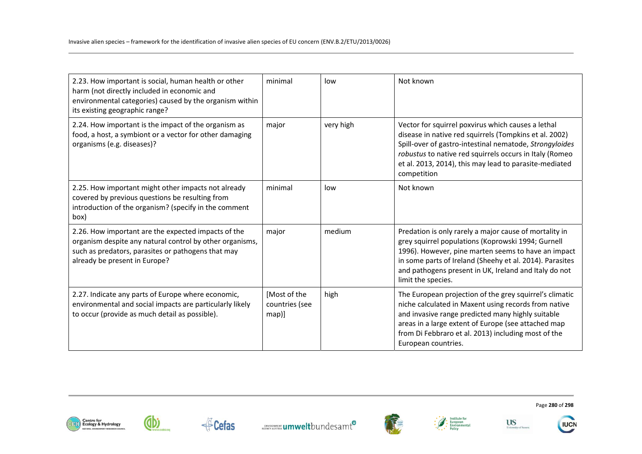| 2.23. How important is social, human health or other<br>harm (not directly included in economic and<br>environmental categories) caused by the organism within<br>its existing geographic range?       | minimal                                 | low       | Not known                                                                                                                                                                                                                                                                                                      |
|--------------------------------------------------------------------------------------------------------------------------------------------------------------------------------------------------------|-----------------------------------------|-----------|----------------------------------------------------------------------------------------------------------------------------------------------------------------------------------------------------------------------------------------------------------------------------------------------------------------|
| 2.24. How important is the impact of the organism as<br>food, a host, a symbiont or a vector for other damaging<br>organisms (e.g. diseases)?                                                          | major                                   | very high | Vector for squirrel poxvirus which causes a lethal<br>disease in native red squirrels (Tompkins et al. 2002)<br>Spill-over of gastro-intestinal nematode, Strongyloides<br>robustus to native red squirrels occurs in Italy (Romeo<br>et al. 2013, 2014), this may lead to parasite-mediated<br>competition    |
| 2.25. How important might other impacts not already<br>covered by previous questions be resulting from<br>introduction of the organism? (specify in the comment<br>box)                                | minimal                                 | low       | Not known                                                                                                                                                                                                                                                                                                      |
| 2.26. How important are the expected impacts of the<br>organism despite any natural control by other organisms,<br>such as predators, parasites or pathogens that may<br>already be present in Europe? | major                                   | medium    | Predation is only rarely a major cause of mortality in<br>grey squirrel populations (Koprowski 1994; Gurnell<br>1996). However, pine marten seems to have an impact<br>in some parts of Ireland (Sheehy et al. 2014). Parasites<br>and pathogens present in UK, Ireland and Italy do not<br>limit the species. |
| 2.27. Indicate any parts of Europe where economic,<br>environmental and social impacts are particularly likely<br>to occur (provide as much detail as possible).                                       | [Most of the<br>countries (see<br>map)] | high      | The European projection of the grey squirrel's climatic<br>niche calculated in Maxent using records from native<br>and invasive range predicted many highly suitable<br>areas in a large extent of Europe (see attached map<br>from Di Febbraro et al. 2013) including most of the<br>European countries.      |











University of Susset

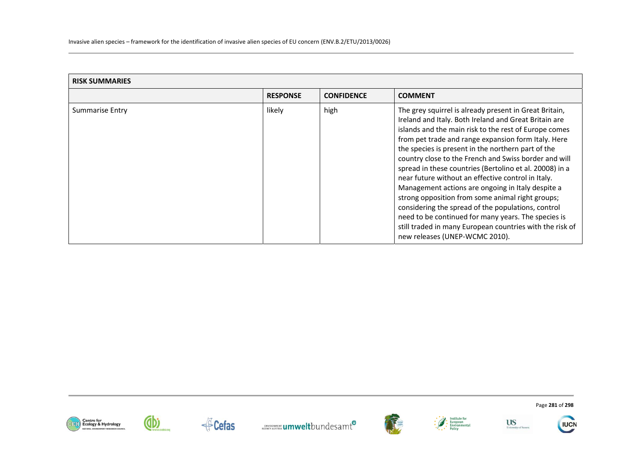| <b>RISK SUMMARIES</b> |                 |                   |                                                                                                                                                                                                                                                                                                                                                                                                                                                                                                                                                                                                                                                                                                                                                                                     |  |
|-----------------------|-----------------|-------------------|-------------------------------------------------------------------------------------------------------------------------------------------------------------------------------------------------------------------------------------------------------------------------------------------------------------------------------------------------------------------------------------------------------------------------------------------------------------------------------------------------------------------------------------------------------------------------------------------------------------------------------------------------------------------------------------------------------------------------------------------------------------------------------------|--|
|                       | <b>RESPONSE</b> | <b>CONFIDENCE</b> | <b>COMMENT</b>                                                                                                                                                                                                                                                                                                                                                                                                                                                                                                                                                                                                                                                                                                                                                                      |  |
| Summarise Entry       | likely          | high              | The grey squirrel is already present in Great Britain,<br>Ireland and Italy. Both Ireland and Great Britain are<br>islands and the main risk to the rest of Europe comes<br>from pet trade and range expansion form Italy. Here<br>the species is present in the northern part of the<br>country close to the French and Swiss border and will<br>spread in these countries (Bertolino et al. 20008) in a<br>near future without an effective control in Italy.<br>Management actions are ongoing in Italy despite a<br>strong opposition from some animal right groups;<br>considering the spread of the populations, control<br>need to be continued for many years. The species is<br>still traded in many European countries with the risk of<br>new releases (UNEP-WCMC 2010). |  |

















Page **281** of **298**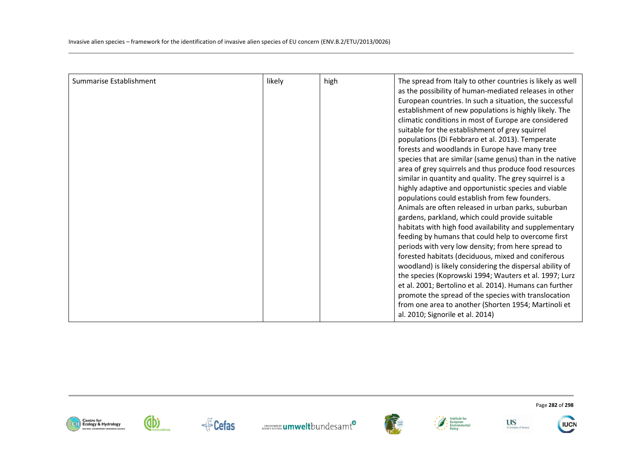| Summarise Establishment | likely | high | The spread from Italy to other countries is likely as well |
|-------------------------|--------|------|------------------------------------------------------------|
|                         |        |      | as the possibility of human-mediated releases in other     |
|                         |        |      | European countries. In such a situation, the successful    |
|                         |        |      | establishment of new populations is highly likely. The     |
|                         |        |      | climatic conditions in most of Europe are considered       |
|                         |        |      | suitable for the establishment of grey squirrel            |
|                         |        |      | populations (Di Febbraro et al. 2013). Temperate           |
|                         |        |      | forests and woodlands in Europe have many tree             |
|                         |        |      | species that are similar (same genus) than in the native   |
|                         |        |      | area of grey squirrels and thus produce food resources     |
|                         |        |      | similar in quantity and quality. The grey squirrel is a    |
|                         |        |      | highly adaptive and opportunistic species and viable       |
|                         |        |      | populations could establish from few founders.             |
|                         |        |      | Animals are often released in urban parks, suburban        |
|                         |        |      | gardens, parkland, which could provide suitable            |
|                         |        |      | habitats with high food availability and supplementary     |
|                         |        |      | feeding by humans that could help to overcome first        |
|                         |        |      | periods with very low density; from here spread to         |
|                         |        |      | forested habitats (deciduous, mixed and coniferous         |
|                         |        |      | woodland) is likely considering the dispersal ability of   |
|                         |        |      | the species (Koprowski 1994; Wauters et al. 1997; Lurz     |
|                         |        |      | et al. 2001; Bertolino et al. 2014). Humans can further    |
|                         |        |      | promote the spread of the species with translocation       |
|                         |        |      | from one area to another (Shorten 1954; Martinoli et       |
|                         |        |      | al. 2010; Signorile et al. 2014)                           |













Page **282** of **298**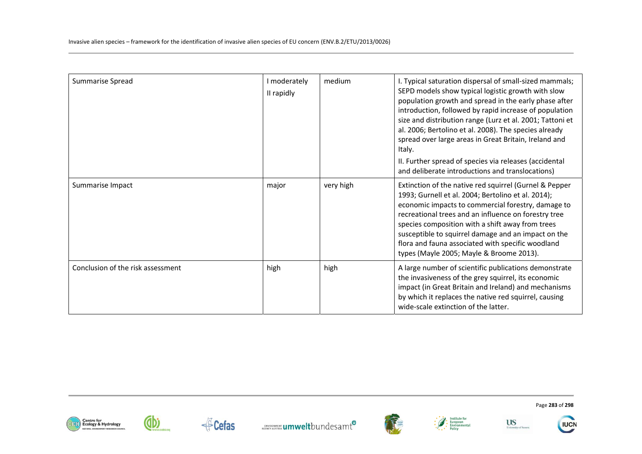| Summarise Spread                  | I moderately<br>II rapidly | medium    | I. Typical saturation dispersal of small-sized mammals;<br>SEPD models show typical logistic growth with slow<br>population growth and spread in the early phase after<br>introduction, followed by rapid increase of population<br>size and distribution range (Lurz et al. 2001; Tattoni et<br>al. 2006; Bertolino et al. 2008). The species already<br>spread over large areas in Great Britain, Ireland and<br>Italy.<br>II. Further spread of species via releases (accidental<br>and deliberate introductions and translocations) |
|-----------------------------------|----------------------------|-----------|-----------------------------------------------------------------------------------------------------------------------------------------------------------------------------------------------------------------------------------------------------------------------------------------------------------------------------------------------------------------------------------------------------------------------------------------------------------------------------------------------------------------------------------------|
| Summarise Impact                  | major                      | very high | Extinction of the native red squirrel (Gurnel & Pepper<br>1993; Gurnell et al. 2004; Bertolino et al. 2014);<br>economic impacts to commercial forestry, damage to<br>recreational trees and an influence on forestry tree<br>species composition with a shift away from trees<br>susceptible to squirrel damage and an impact on the<br>flora and fauna associated with specific woodland<br>types (Mayle 2005; Mayle & Broome 2013).                                                                                                  |
| Conclusion of the risk assessment | high                       | high      | A large number of scientific publications demonstrate<br>the invasiveness of the grey squirrel, its economic<br>impact (in Great Britain and Ireland) and mechanisms<br>by which it replaces the native red squirrel, causing<br>wide-scale extinction of the latter.                                                                                                                                                                                                                                                                   |













Page **283** of **298**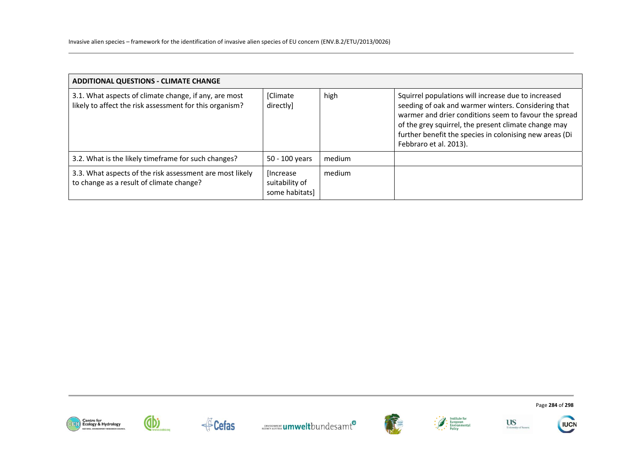| <b>ADDITIONAL QUESTIONS - CLIMATE CHANGE</b>                                                                     |                                                |        |                                                                                                                                                                                                                                                                                                                  |  |
|------------------------------------------------------------------------------------------------------------------|------------------------------------------------|--------|------------------------------------------------------------------------------------------------------------------------------------------------------------------------------------------------------------------------------------------------------------------------------------------------------------------|--|
| 3.1. What aspects of climate change, if any, are most<br>likely to affect the risk assessment for this organism? | [Climate<br>directly]                          | high   | Squirrel populations will increase due to increased<br>seeding of oak and warmer winters. Considering that<br>warmer and drier conditions seem to favour the spread<br>of the grey squirrel, the present climate change may<br>further benefit the species in colonising new areas (Di<br>Febbraro et al. 2013). |  |
| 3.2. What is the likely timeframe for such changes?                                                              | 50 - 100 years                                 | medium |                                                                                                                                                                                                                                                                                                                  |  |
| 3.3. What aspects of the risk assessment are most likely<br>to change as a result of climate change?             | [Increase]<br>suitability of<br>some habitats] | medium |                                                                                                                                                                                                                                                                                                                  |  |













Page **284** of **298** 

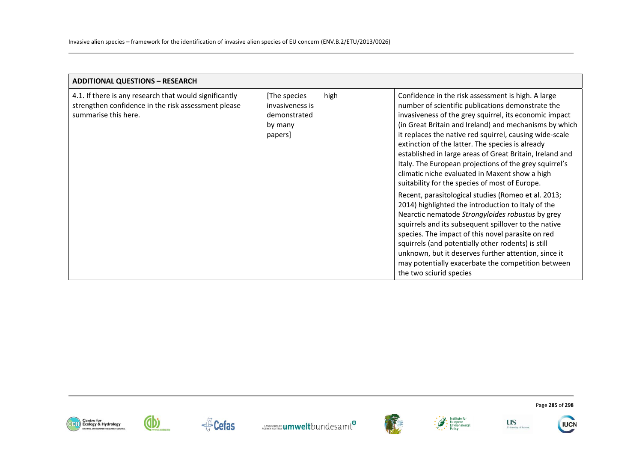| <b>ADDITIONAL QUESTIONS - RESEARCH</b>                                                                                                |                                                                       |      |                                                                                                                                                                                                                                                                                                                                                                                                                                                                                                                                                                                                                                                                                                                                                                                                                                                                                                                                                                                                                                                   |
|---------------------------------------------------------------------------------------------------------------------------------------|-----------------------------------------------------------------------|------|---------------------------------------------------------------------------------------------------------------------------------------------------------------------------------------------------------------------------------------------------------------------------------------------------------------------------------------------------------------------------------------------------------------------------------------------------------------------------------------------------------------------------------------------------------------------------------------------------------------------------------------------------------------------------------------------------------------------------------------------------------------------------------------------------------------------------------------------------------------------------------------------------------------------------------------------------------------------------------------------------------------------------------------------------|
| 4.1. If there is any research that would significantly<br>strengthen confidence in the risk assessment please<br>summarise this here. | [The species<br>invasiveness is<br>demonstrated<br>by many<br>papers] | high | Confidence in the risk assessment is high. A large<br>number of scientific publications demonstrate the<br>invasiveness of the grey squirrel, its economic impact<br>(in Great Britain and Ireland) and mechanisms by which<br>it replaces the native red squirrel, causing wide-scale<br>extinction of the latter. The species is already<br>established in large areas of Great Britain, Ireland and<br>Italy. The European projections of the grey squirrel's<br>climatic niche evaluated in Maxent show a high<br>suitability for the species of most of Europe.<br>Recent, parasitological studies (Romeo et al. 2013;<br>2014) highlighted the introduction to Italy of the<br>Nearctic nematode Strongyloides robustus by grey<br>squirrels and its subsequent spillover to the native<br>species. The impact of this novel parasite on red<br>squirrels (and potentially other rodents) is still<br>unknown, but it deserves further attention, since it<br>may potentially exacerbate the competition between<br>the two sciurid species |















Page **285** of **298**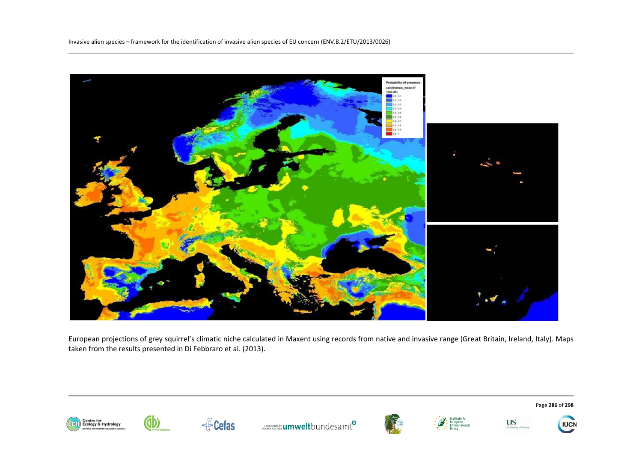

European projections of grey squirrel's climatic niche calculated in Maxent using records from native and invasive range (Great Britain, Ireland, Italy). Maps taken from the results presented in Di Febbraro et al. (2013).





(db

**ENVIRONMENT UMWelt**bundesamt<sup>0</sup>







Page **286** of **298** 

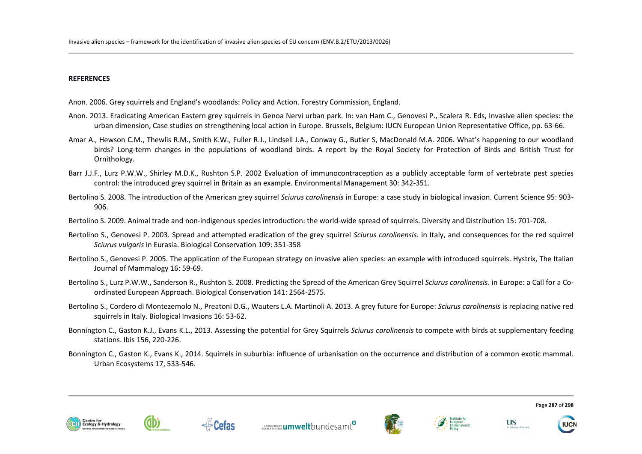## **REFERENCES**

- Anon. 2006. Grey squirrels and England's woodlands: Policy and Action. Forestry Commission, England.
- Anon. 2013. Eradicating American Eastern grey squirrels in Genoa Nervi urban park. In: van Ham C., Genovesi P., Scalera R. Eds, Invasive alien species: the urban dimension, Case studies on strengthening local action in Europe. Brussels, Belgium: IUCN European Union Representative Office, pp. 63-66.
- Amar A., Hewson C.M., Thewlis R.M., Smith K.W., Fuller R.J., Lindsell J.A., Conway G., Butler S, MacDonald M.A. 2006. What's happening to our woodland birds? Long-term changes in the populations of woodland birds. A report by the Royal Society for Protection of Birds and British Trust for Ornithology.
- Barr J.J.F., Lurz P.W.W., Shirley M.D.K., Rushton S.P. 2002 Evaluation of immunocontraception as a publicly acceptable form of vertebrate pest species control: the introduced grey squirrel in Britain as an example. Environmental Management 30: 342-351.
- Bertolino S. 2008. The introduction of the American grey squirrel *Sciurus carolinensis* in Europe: a case study in biological invasion. Current Science 95: 903- 906.
- Bertolino S. 2009. Animal trade and non-indigenous species introduction: the world-wide spread of squirrels. Diversity and Distribution 15: 701-708.
- Bertolino S., Genovesi P. 2003. Spread and attempted eradication of the grey squirrel *Sciurus carolinensis*. in Italy, and consequences for the red squirrel *Sciurus vulgaris* in Eurasia. Biological Conservation 109: 351-358
- Bertolino S., Genovesi P. 2005. The application of the European strategy on invasive alien species: an example with introduced squirrels. Hystrix, The Italian Journal of Mammalogy 16: 59-69.
- Bertolino S., Lurz P.W.W., Sanderson R., Rushton S. 2008. Predicting the Spread of the American Grey Squirrel *Sciurus carolinensis*. in Europe: a Call for a Coordinated European Approach. Biological Conservation 141: 2564-2575.
- Bertolino S., Cordero di Montezemolo N., Preatoni D.G., Wauters L.A. Martinoli A. 2013. A grey future for Europe: *Sciurus carolinensis* is replacing native red squirrels in Italy. Biological Invasions 16: 53-62.
- Bonnington C., Gaston K.J., Evans K.L., 2013. Assessing the potential for Grey Squirrels *Sciurus carolinensis* to compete with birds at supplementary feeding stations. Ibis 156, 220-226.
- Bonnington C., Gaston K., Evans K., 2014. Squirrels in suburbia: influence of urbanisation on the occurrence and distribution of a common exotic mammal. Urban Ecosystems 17, 533-546.











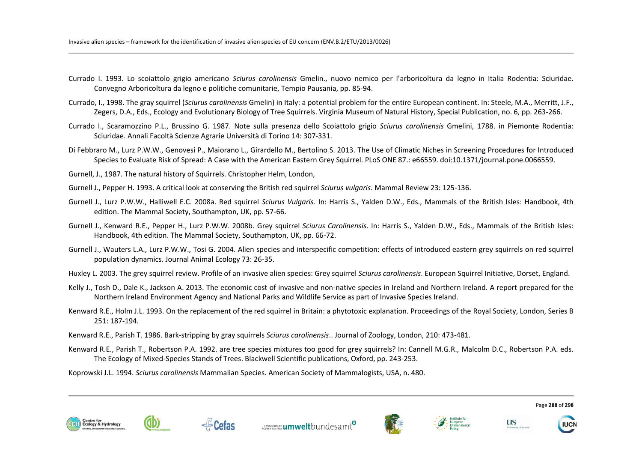- Currado I. 1993. Lo scoiattolo grigio americano *Sciurus carolinensis* Gmelin., nuovo nemico per l'arboricoltura da legno in Italia Rodentia: Sciuridae. Convegno Arboricoltura da legno e politiche comunitarie, Tempio Pausania, pp. 85-94.
- Currado, I., 1998. The gray squirrel (*Sciurus carolinensis* Gmelin) in Italy: a potential problem for the entire European continent. In: Steele, M.A., Merritt, J.F., Zegers, D.A., Eds., Ecology and Evolutionary Biology of Tree Squirrels. Virginia Museum of Natural History, Special Publication, no. 6, pp. 263-266.
- Currado I., Scaramozzino P.L., Brussino G. 1987. Note sulla presenza dello Scoiattolo grigio *Sciurus carolinensis* Gmelini, 1788. in Piemonte Rodentia: Sciuridae. Annali Facoltà Scienze Agrarie Università di Torino 14: 307-331.
- Di Febbraro M., Lurz P.W.W., Genovesi P., Maiorano L., Girardello M., Bertolino S. 2013. The Use of Climatic Niches in Screening Procedures for Introduced Species to Evaluate Risk of Spread: A Case with the American Eastern Grey Squirrel. PLoS ONE 87.: e66559. doi:10.1371/journal.pone.0066559.

Gurnell, J., 1987. The natural history of Squirrels. Christopher Helm, London,

- Gurnell J., Pepper H. 1993. A critical look at conserving the British red squirrel *Sciurus vulgaris*. Mammal Review 23: 125-136.
- Gurnell J., Lurz P.W.W., Halliwell E.C. 2008a. Red squirrel *Sciurus Vulgaris*. In: Harris S., Yalden D.W., Eds., Mammals of the British Isles: Handbook, 4th edition. The Mammal Society, Southampton, UK, pp. 57-66.
- Gurnell J., Kenward R.E., Pepper H., Lurz P.W.W. 2008b. Grey squirrel *Sciurus Carolinensis*. In: Harris S., Yalden D.W., Eds., Mammals of the British Isles: Handbook, 4th edition. The Mammal Society, Southampton, UK, pp. 66-72.
- Gurnell J., Wauters L.A., Lurz P.W.W., Tosi G. 2004. Alien species and interspecific competition: effects of introduced eastern grey squirrels on red squirrel population dynamics. Journal Animal Ecology 73: 26-35.
- Huxley L. 2003. The grey squirrel review. Profile of an invasive alien species: Grey squirrel *Sciurus carolinensis*. European Squirrel Initiative, Dorset, England.
- Kelly J., Tosh D., Dale K., Jackson A. 2013. The economic cost of invasive and non-native species in Ireland and Northern Ireland. A report prepared for the Northern Ireland Environment Agency and National Parks and Wildlife Service as part of Invasive Species Ireland.
- Kenward R.E., Holm J.L. 1993. On the replacement of the red squirrel in Britain: a phytotoxic explanation. Proceedings of the Royal Society, London, Series B 251: 187-194.
- Kenward R.E., Parish T. 1986. Bark-stripping by gray squirrels *Sciurus carolinensis*.. Journal of Zoology, London, 210: 473-481.
- Kenward R.E., Parish T., Robertson P.A. 1992. are tree species mixtures too good for grey squirrels? In: Cannell M.G.R., Malcolm D.C., Robertson P.A. eds. The Ecology of Mixed-Species Stands of Trees. Blackwell Scientific publications, Oxford, pp. 243-253.

Koprowski J.L. 1994. *Sciurus carolinensis* Mammalian Species. American Society of Mammalogists, USA, n. 480.











**US** 

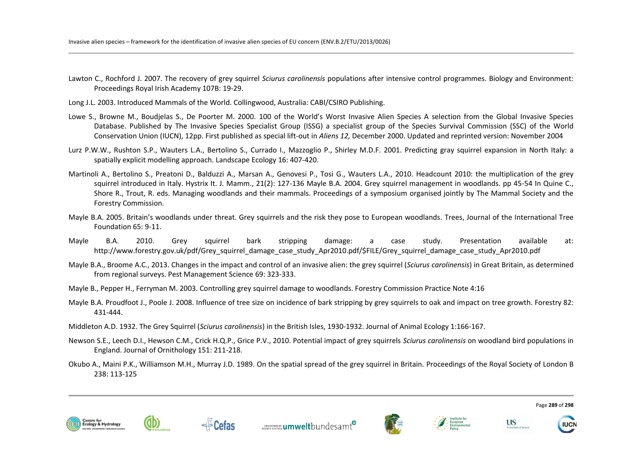- Lawton C., Rochford J. 2007. The recovery of grey squirrel *Sciurus carolinensis* populations after intensive control programmes. Biology and Environment: Proceedings Royal Irish Academy 107B: 19-29.
- Long J.L. 2003. Introduced Mammals of the World. Collingwood, Australia: CABI/CSIRO Publishing.
- Lowe S., Browne M., Boudjelas S., De Poorter M. 2000. 100 of the World's Worst Invasive Alien Species A selection from the Global Invasive Species Database. Published by The Invasive Species Specialist Group (ISSG) a specialist group of the Species Survival Commission (SSC) of the World Conservation Union (IUCN), 12pp. First published as special lift-out in *Aliens 12,* December 2000. Updated and reprinted version: November 2004
- Lurz P.W.W., Rushton S.P., Wauters L.A., Bertolino S., Currado I., Mazzoglio P., Shirley M.D.F. 2001. Predicting gray squirrel expansion in North Italy: a spatially explicit modelling approach. Landscape Ecology 16: 407-420.
- Martinoli A., Bertolino S., Preatoni D., Balduzzi A., Marsan A., Genovesi P., Tosi G., Wauters L.A., 2010. Headcount 2010: the multiplication of the grey squirrel introduced in Italy. Hystrix It. J. Mamm., 21(2): 127-136 Mayle B.A. 2004. Grey squirrel management in woodlands. pp 45-54 In Quine C., Shore R., Trout, R. eds. Managing woodlands and their mammals. Proceedings of a symposium organised jointly by The Mammal Society and the Forestry Commission.
- Mayle B.A. 2005. Britain's woodlands under threat. Grey squirrels and the risk they pose to European woodlands. Trees, Journal of the International Tree Foundation 65: 9-11.
- Mayle B.A. 2010. Grey squirrel bark stripping damage: a case study. Presentation available at: http://www.forestry.gov.uk/pdf/Grey\_squirrel\_damage\_case\_study\_Apr2010.pdf/\$FILE/Grey\_squirrel\_damage\_case\_study\_Apr2010.pdf
- Mayle B.A., Broome A.C., 2013. Changes in the impact and control of an invasive alien: the grey squirrel (*Sciurus carolinensis*) in Great Britain, as determined from regional surveys. Pest Management Science 69: 323-333.
- Mayle B., Pepper H., Ferryman M. 2003. Controlling grey squirrel damage to woodlands. Forestry Commission Practice Note 4:16
- Mayle B.A. Proudfoot J., Poole J. 2008. Influence of tree size on incidence of bark stripping by grey squirrels to oak and impact on tree growth. Forestry 82: 431-444.
- Middleton A.D. 1932. The Grey Squirrel (*Sciurus carolinensis*) in the British Isles, 1930-1932. Journal of Animal Ecology 1:166-167.
- Newson S.E., Leech D.I., Hewson C.M., Crick H.Q.P., Grice P.V., 2010. Potential impact of grey squirrels *Sciurus carolinensis* on woodland bird populations in England. Journal of Ornithology 151: 211-218.
- Okubo A., Maini P.K., Williamson M.H., Murray J.D. 1989. On the spatial spread of the grey squirrel in Britain. Proceedings of the Royal Society of London B 238: 113-125











Page **289** of **298**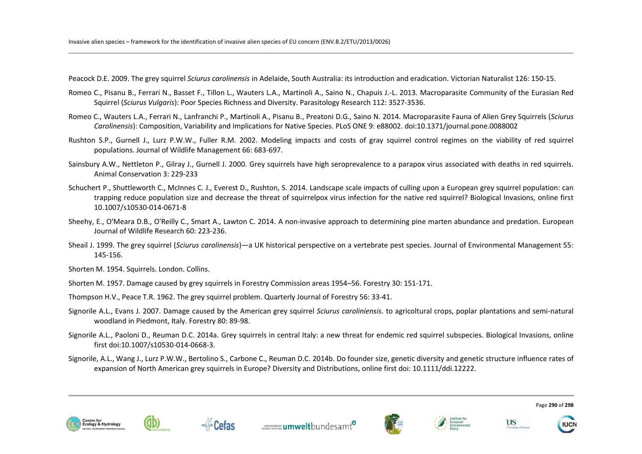Peacock D.E. 2009. The grey squirrel *Sciurus carolinensis* in Adelaide, South Australia: its introduction and eradication. Victorian Naturalist 126: 150-15.

- Romeo C., Pisanu B., Ferrari N., Basset F., Tillon L., Wauters L.A., Martinoli A., Saino N., Chapuis J.-L. 2013. Macroparasite Community of the Eurasian Red Squirrel (*Sciurus Vulgaris*): Poor Species Richness and Diversity. Parasitology Research 112: 3527-3536.
- Romeo C., Wauters L.A., Ferrari N., Lanfranchi P., Martinoli A., Pisanu B., Preatoni D.G., Saino N. 2014. Macroparasite Fauna of Alien Grey Squirrels (*Sciurus Carolinensis*): Composition, Variability and Implications for Native Species. PLoS ONE 9: e88002. doi:10.1371/journal.pone.0088002
- Rushton S.P., Gurnell J., Lurz P.W.W., Fuller R.M. 2002. Modeling impacts and costs of gray squirrel control regimes on the viability of red squirrel populations. Journal of Wildlife Management 66: 683-697.
- Sainsbury A.W., Nettleton P., Gilray J., Gurnell J. 2000. Grey squirrels have high seroprevalence to a parapox virus associated with deaths in red squirrels. Animal Conservation 3: 229-233
- Schuchert P., Shuttleworth C., McInnes C. J., Everest D., Rushton, S. 2014. Landscape scale impacts of culling upon a European grey squirrel population: can trapping reduce population size and decrease the threat of squirrelpox virus infection for the native red squirrel? Biological Invasions, online first 10.1007/s10530-014-0671-8
- Sheehy, E., O'Meara D.B., O'Reilly C., Smart A., Lawton C. 2014. A non-invasive approach to determining pine marten abundance and predation. European Journal of Wildlife Research 60: 223-236.
- Sheail J. 1999. The grey squirrel (*Sciurus carolinensis*)—a UK historical perspective on a vertebrate pest species. Journal of Environmental Management 55: 145-156.
- Shorten M. 1954. Squirrels. London. Collins.
- Shorten M. 1957. Damage caused by grey squirrels in Forestry Commission areas 1954–56. Forestry 30: 151-171.

Thompson H.V., Peace T.R. 1962. The grey squirrel problem. Quarterly Journal of Forestry 56: 33-41.

- Signorile A.L., Evans J. 2007. Damage caused by the American grey squirrel *Sciurus caroliniensis*. to agricoltural crops, poplar plantations and semi-natural woodland in Piedmont, Italy. Forestry 80: 89-98.
- Signorile A.L., Paoloni D., Reuman D.C. 2014a. Grey squirrels in central Italy: a new threat for endemic red squirrel subspecies. Biological Invasions, online first doi:10.1007/s10530-014-0668-3.
- Signorile, A.L., Wang J., Lurz P.W.W., Bertolino S., Carbone C., Reuman D.C. 2014b. Do founder size, genetic diversity and genetic structure influence rates of expansion of North American grey squirrels in Europe? Diversity and Distributions, online first doi: 10.1111/ddi.12222.